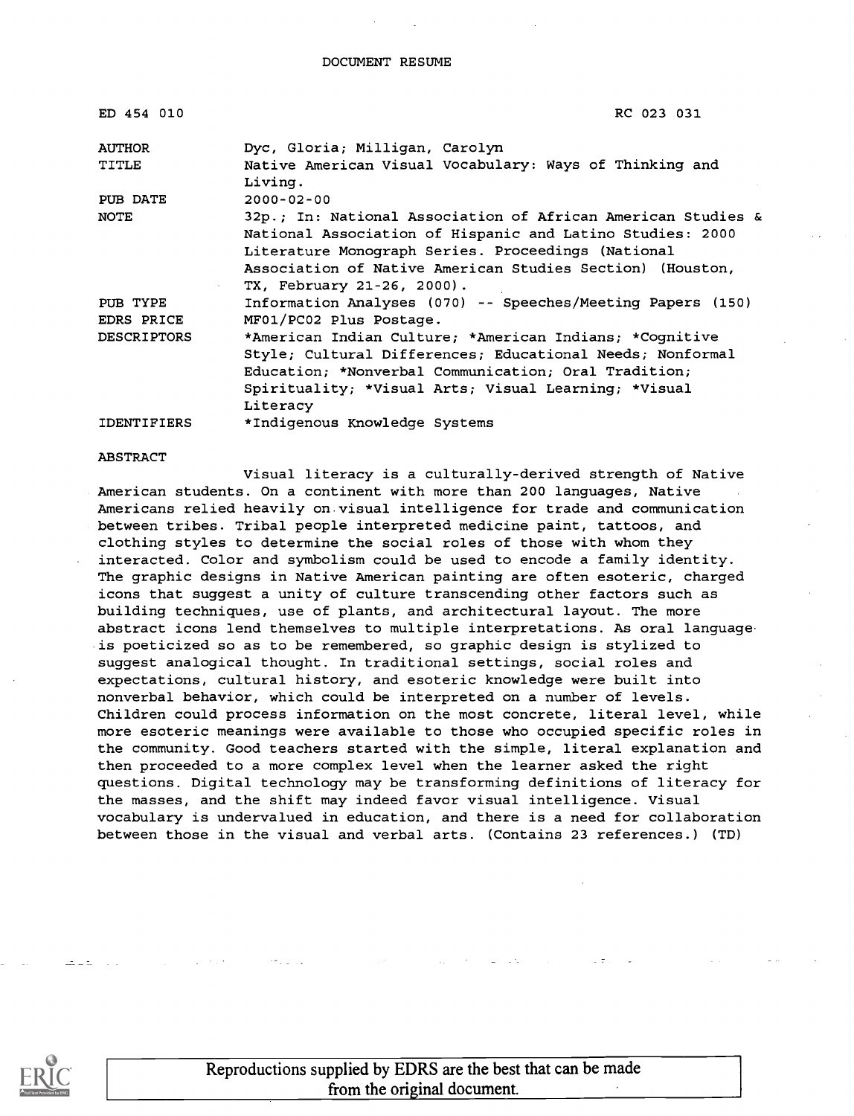| ED 454 010             | RC 023 031                                                                                                                                                                                                                                                                 |
|------------------------|----------------------------------------------------------------------------------------------------------------------------------------------------------------------------------------------------------------------------------------------------------------------------|
| <b>AUTHOR</b>          | Dyc, Gloria; Milligan, Carolyn                                                                                                                                                                                                                                             |
| <b>TITLE</b>           | Native American Visual Vocabulary: Ways of Thinking and<br>Living.                                                                                                                                                                                                         |
| PUB DATE               | $2000 - 02 - 00$                                                                                                                                                                                                                                                           |
| NOTE                   | 32p.; In: National Association of African American Studies &<br>National Association of Hispanic and Latino Studies: 2000<br>Literature Monograph Series. Proceedings (National<br>Association of Native American Studies Section) (Houston,<br>TX, February 21-26, 2000). |
| PUB TYPE<br>EDRS PRICE | Information Analyses (070) -- Speeches/Meeting Papers (150)<br>MF01/PC02 Plus Postage.                                                                                                                                                                                     |
| <b>DESCRIPTORS</b>     | *American Indian Culture; *American Indians; *Cognitive<br>Style; Cultural Differences; Educational Needs; Nonformal<br>Education; *Nonverbal Communication; Oral Tradition;<br>Spirituality; *Visual Arts; Visual Learning; *Visual<br>Literacy                           |
| <b>IDENTIFIERS</b>     | *Indigenous Knowledge Systems                                                                                                                                                                                                                                              |

#### ABSTRACT

Visual literacy is a culturally-derived strength of Native American students. On a continent with more than 200 languages, Native Americans relied heavily on visual intelligence for trade and communication between tribes. Tribal people interpreted medicine paint, tattoos, and clothing styles to determine the social roles of those with whom they interacted. Color and symbolism could be used to encode a family identity. The graphic designs in Native American painting are often esoteric, charged icons that suggest a unity of culture transcending other factors such as building techniques, use of plants, and architectural layout. The more abstract icons lend themselves to multiple interpretations. As oral language is poeticized so as to be remembered, so graphic design is stylized to suggest analogical thought. In traditional settings, social roles and expectations, cultural history, and esoteric knowledge were built into nonverbal behavior, which could be interpreted on a number of levels. Children could process information on the most concrete, literal level, while more esoteric meanings were available to those who occupied specific roles in the community. Good teachers started with the simple, literal explanation and then proceeded to a more complex level when the learner asked the right questions. Digital technology may be transforming definitions of literacy for the masses, and the shift may indeed favor visual intelligence. Visual vocabulary is undervalued in education, and there is a need for collaboration between those in the visual and verbal arts. (Contains 23 references.) (TD)



Reproductions supplied by EDRS are the best that can be made from the original document.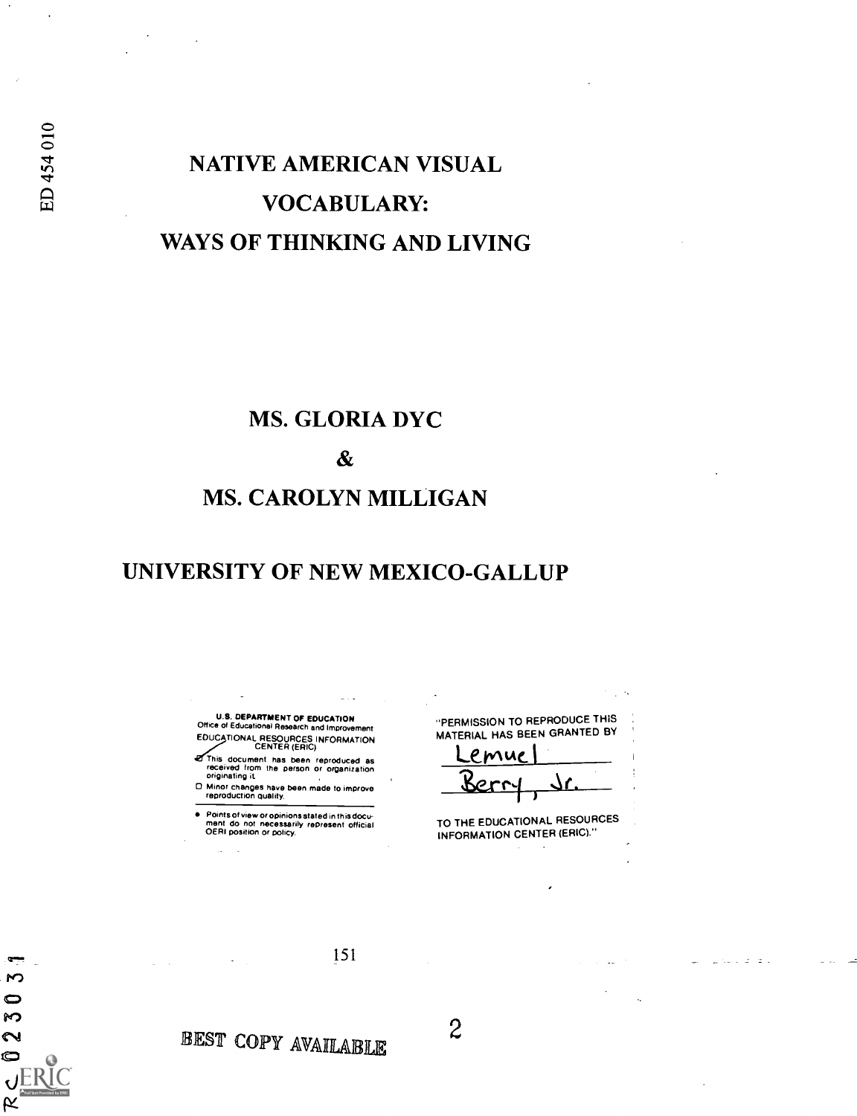$\mathbf{M}$  $\bullet$ S  $\sim$ c

**K** 

# NATIVE AMERICAN VISUAL VOCABULARY: WAYS OF THINKING AND LIVING

### MS. GLORIA DYC

 $\boldsymbol{\&}$ 

### MS. CAROLYN MILLIGAN

## UNIVERSITY OF NEW MEXICO-GALLUP

U.S. DEPARTMENT OF EDUCATION Office of Educational Research and Improvement EDUCATIONAL RESOURCES INFORMATION<br>CENTER (ERIC)

This document has been reproduced as received from the person or organization originating it

Minor changes have been made to improve reproduction quality.

Points of view or opinions stated in this docu- ment do not necessarily represent official OERI position or policy.

"PERMISSION TO REPRODUCE THIS MATERIAL HAS BEEN GRANTED BY

Lemue Berry, dr.

TO THE EDUCATIONAL RESOURCES INFORMATION CENTER (ERIC)."

and and

BEST COPY AVAILABLE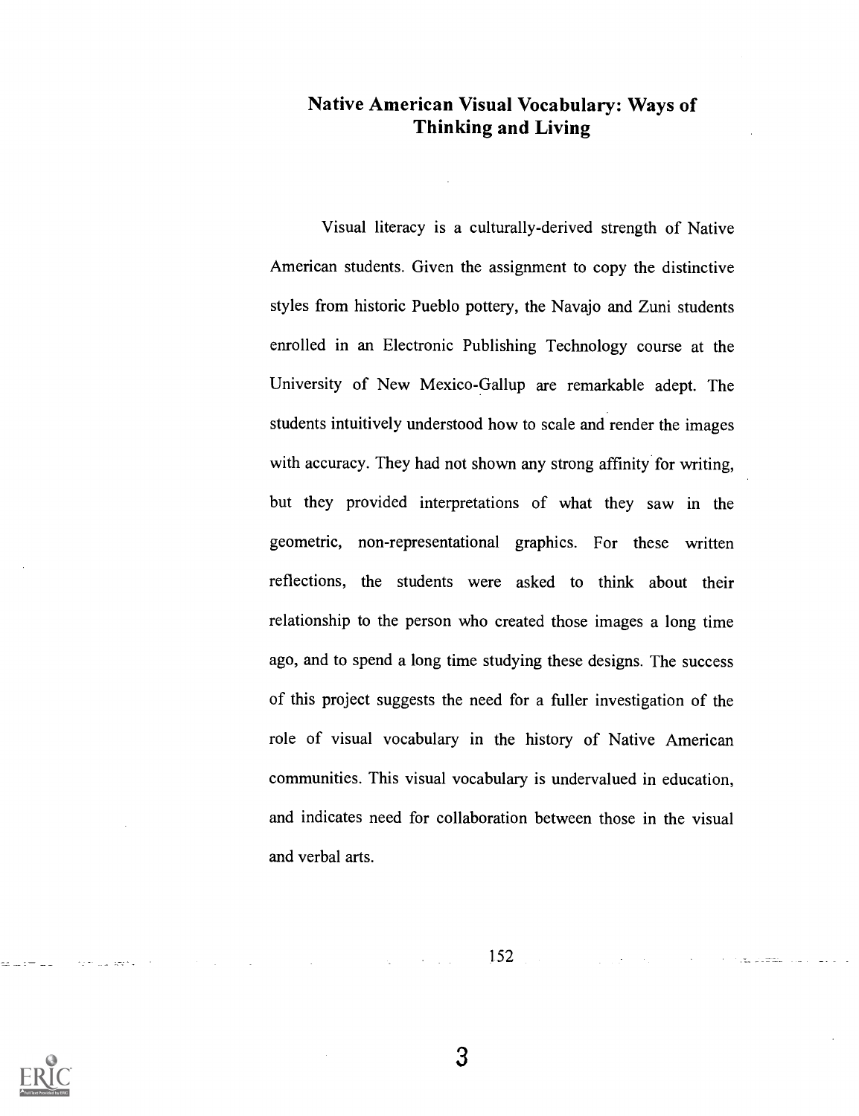#### Native American Visual Vocabulary: Ways of Thinking and Living

Visual literacy is a culturally-derived strength of Native American students. Given the assignment to copy the distinctive styles from historic Pueblo pottery, the Navajo and Zuni students enrolled in an Electronic Publishing Technology course at the University of New Mexico-Gallup are remarkable adept. The students intuitively understood how to scale and render the images with accuracy. They had not shown any strong affinity for writing, but they provided interpretations of what they saw in the geometric, non-representational graphics. For these written reflections, the students were asked to think about their relationship to the person who created those images a long time ago, and to spend a long time studying these designs. The success of this project suggests the need for a fuller investigation of the role of visual vocabulary in the history of Native American communities. This visual vocabulary is undervalued in education, and indicates need for collaboration between those in the visual and verbal arts.

152

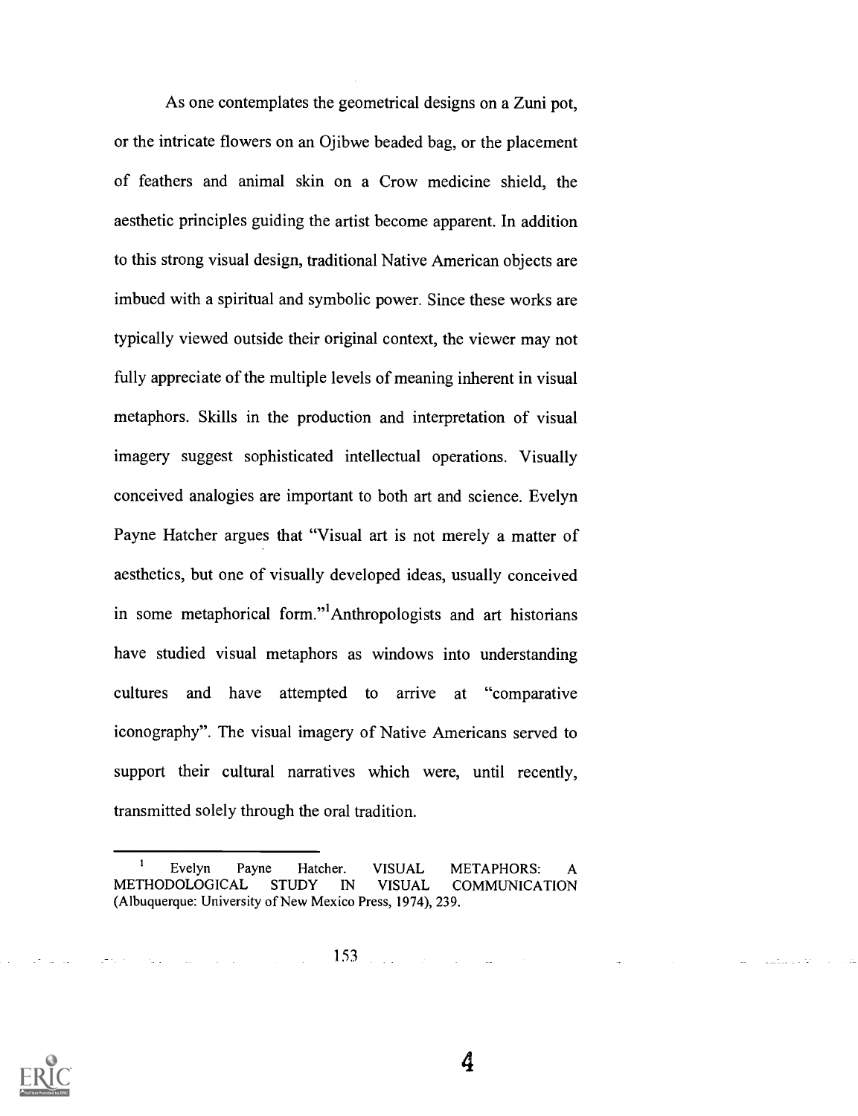As one contemplates the geometrical designs on a Zuni pot, or the intricate flowers on an Ojibwe beaded bag, or the placement of feathers and animal skin on a Crow medicine shield, the aesthetic principles guiding the artist become apparent. In addition to this strong visual design, traditional Native American objects are imbued with a spiritual and symbolic power. Since these works are typically viewed outside their original context, the viewer may not fully appreciate of the multiple levels of meaning inherent in visual metaphors. Skills in the production and interpretation of visual imagery suggest sophisticated intellectual operations. Visually conceived analogies are important to both art and science. Evelyn Payne Hatcher argues that "Visual art is not merely a matter of aesthetics, but one of visually developed ideas, usually conceived in some metaphorical form."<sup>1</sup>Anthropologists and art historians have studied visual metaphors as windows into understanding cultures and have attempted to arrive at "comparative iconography". The visual imagery of Native Americans served to support their cultural narratives which were, until recently, transmitted solely through the oral tradition.

Evelyn Payne Hatcher. VISUAL METAPHORS: A METHODOLOGICAL STUDY IN VISUAL COMMUNICATION (Albuquerque: University of New Mexico Press, 1974), 239.

> 153 $\mathbb{R}^2$

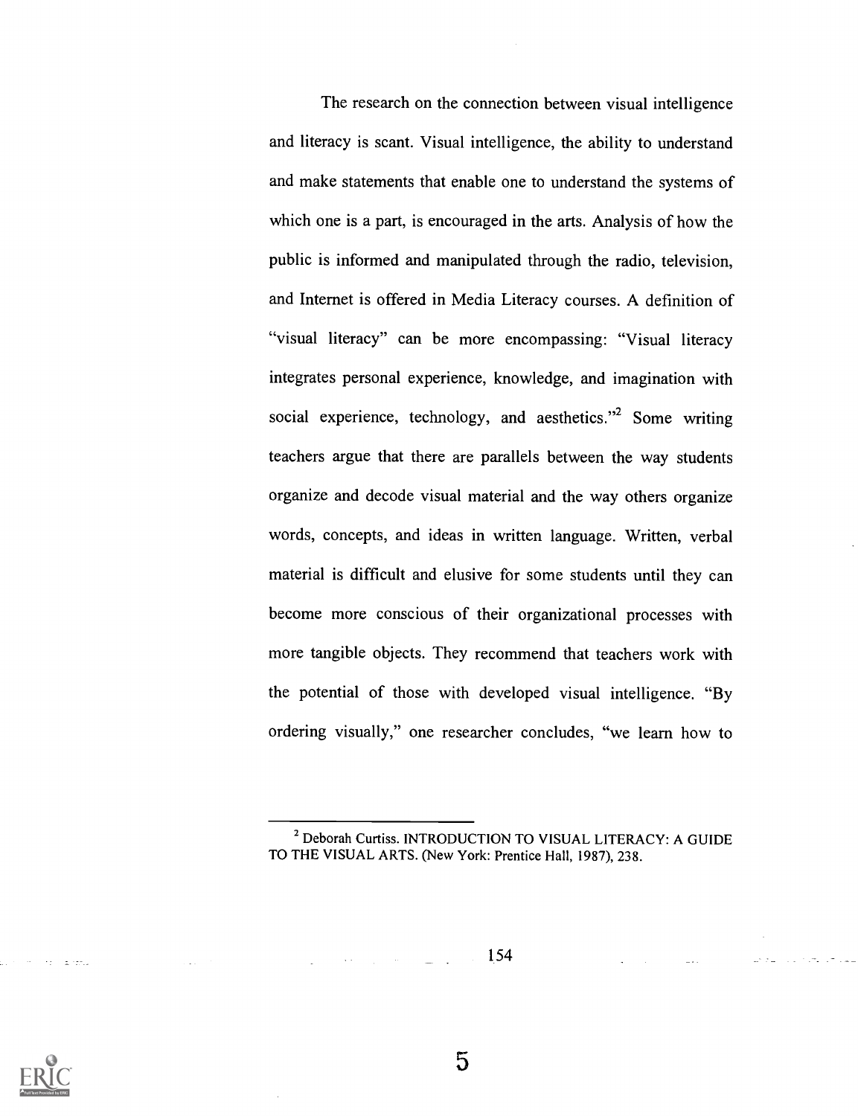The research on the connection between visual intelligence and literacy is scant. Visual intelligence, the ability to understand and make statements that enable one to understand the systems of which one is a part, is encouraged in the arts. Analysis of how the public is informed and manipulated through the radio, television, and Internet is offered in Media Literacy courses. A definition of "visual literacy" can be more encompassing: "Visual literacy integrates personal experience, knowledge, and imagination with social experience, technology, and aesthetics."<sup>2</sup> Some writing teachers argue that there are parallels between the way students organize and decode visual material and the way others organize words, concepts, and ideas in written language. Written, verbal material is difficult and elusive for some students until they can become more conscious of their organizational processes with more tangible objects. They recommend that teachers work with the potential of those with developed visual intelligence. "By ordering visually," one researcher concludes, "we learn how to

154



**Carl Carl Carl** 

<sup>2</sup> Deborah Curtiss. INTRODUCTION TO VISUAL LITERACY: A GUIDE TO THE VISUAL ARTS. (New York: Prentice Hall, 1987), 238.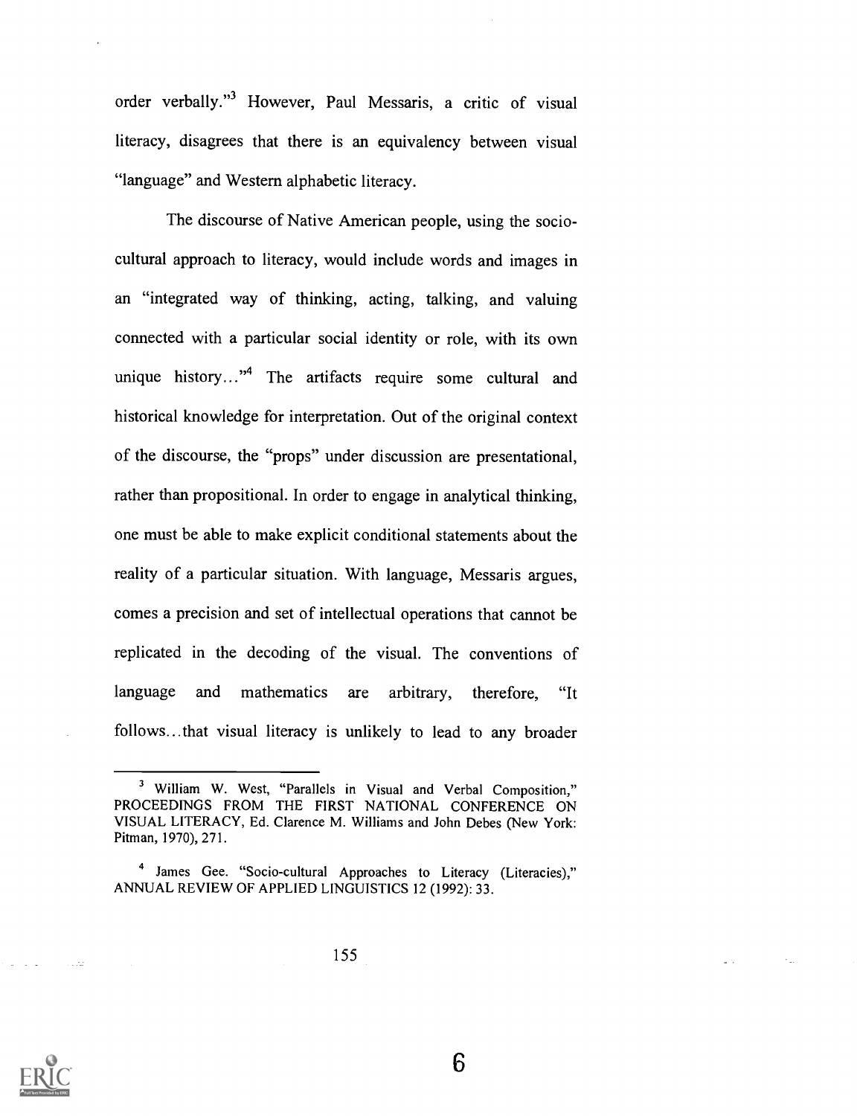order verbally."3 However, Paul Messaris, a critic of visual literacy, disagrees that there is an equivalency between visual "language" and Western alphabetic literacy.

The discourse of Native American people, using the sociocultural approach to literacy, would include words and images in an "integrated way of thinking, acting, talking, and valuing connected with a particular social identity or role, with its own unique history..."<sup>4</sup> The artifacts require some cultural and historical knowledge for interpretation. Out of the original context of the discourse, the "props" under discussion are presentational, rather than propositional. In order to engage in analytical thinking, one must be able to make explicit conditional statements about the reality of a particular situation. With language, Messaris argues, comes a precision and set of intellectual operations that cannot be replicated in the decoding of the visual. The conventions of language and mathematics are arbitrary, therefore, "It follows...that visual literacy is unlikely to lead to any broader



<sup>3</sup> William W. West, "Parallels in Visual and Verbal Composition," PROCEEDINGS FROM THE FIRST NATIONAL CONFERENCE ON VISUAL LITERACY, Ed. Clarence M. Williams and John Debes (New York: Pitman, 1970), 271.

<sup>&</sup>lt;sup>4</sup> James Gee. "Socio-cultural Approaches to Literacy (Literacies)," ANNUAL REVIEW OF APPLIED LINGUISTICS 12 (1992): 33.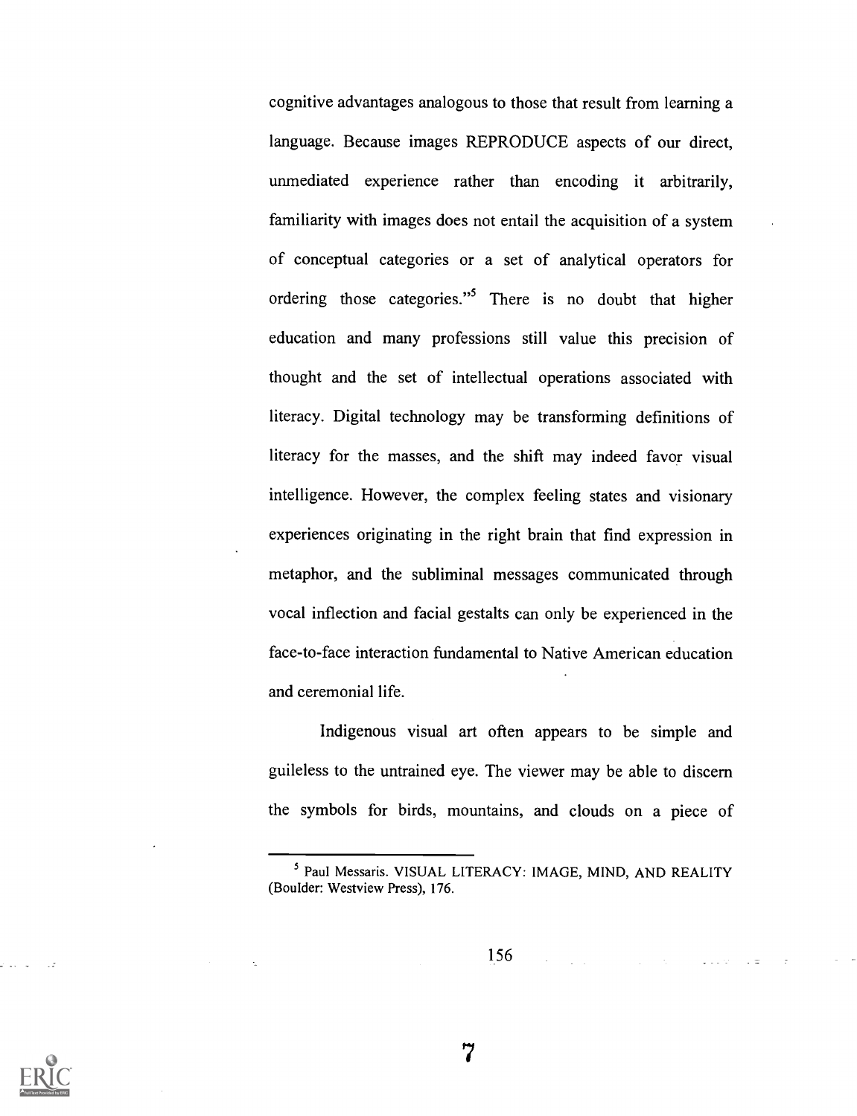cognitive advantages analogous to those that result from learning a language. Because images REPRODUCE aspects of our direct, unmediated experience rather than encoding it arbitrarily, familiarity with images does not entail the acquisition of a system of conceptual categories or a set of analytical operators for ordering those categories."5 There is no doubt that higher education and many professions still value this precision of thought and the set of intellectual operations associated with literacy. Digital technology may be transforming definitions of literacy for the masses, and the shift may indeed favor visual intelligence. However, the complex feeling states and visionary experiences originating in the right brain that find expression in metaphor, and the subliminal messages communicated through vocal inflection and facial gestalts can only be experienced in the face-to-face interaction fundamental to Native American education and ceremonial life.

Indigenous visual art often appears to be simple and guileless to the untrained eye. The viewer may be able to discern the symbols for birds, mountains, and clouds on a piece of

156

Lista est.<br>Lista est.



<sup>5</sup> Paul Messaris. VISUAL LITERACY: IMAGE, MIND, AND REALITY (Boulder: Westview Press), 176.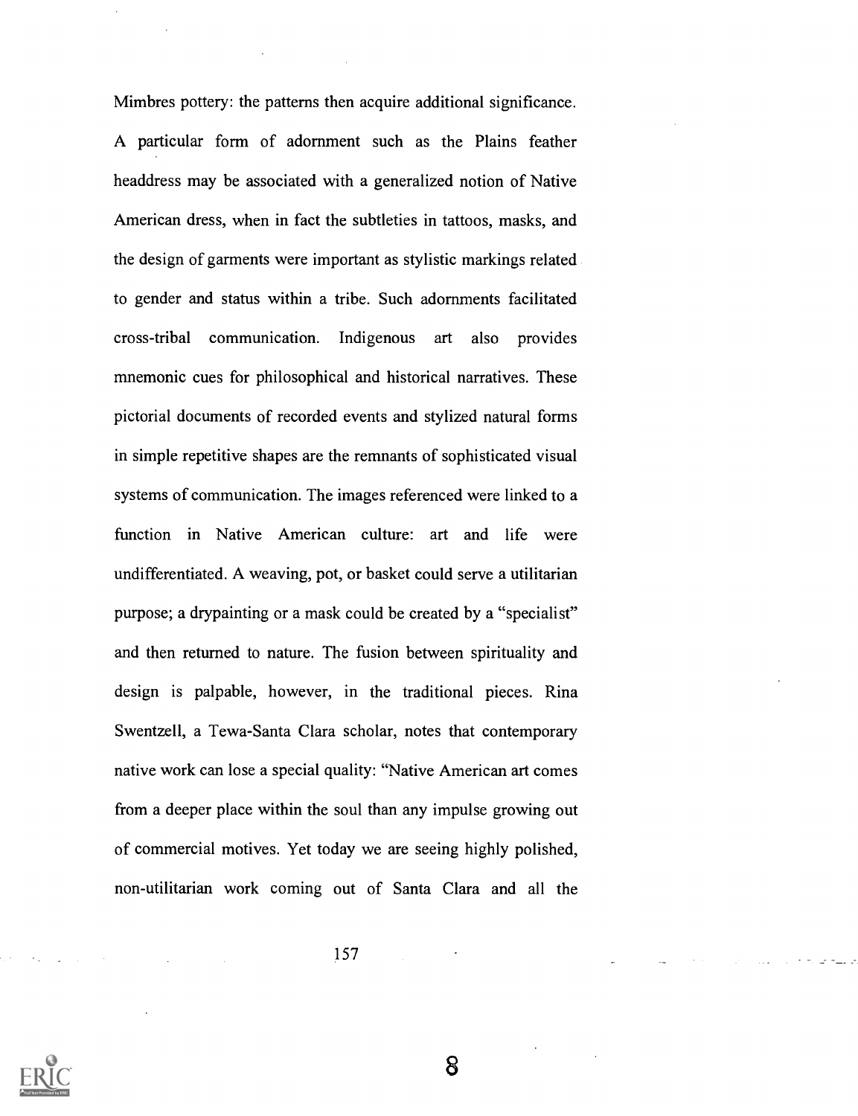Mimbres pottery: the patterns then acquire additional significance. A particular form of adornment such as the Plains feather headdress may be associated with a generalized notion of Native American dress, when in fact the subtleties in tattoos, masks, and the design of garments were important as stylistic markings related to gender and status within a tribe. Such adornments facilitated cross-tribal communication. Indigenous art also provides mnemonic cues for philosophical and historical narratives. These pictorial documents of recorded events and stylized natural forms in simple repetitive shapes are the remnants of sophisticated visual systems of communication. The images referenced were linked to a function in Native American culture: art and life were undifferentiated. A weaving, pot, or basket could serve a utilitarian purpose; a drypainting or a mask could be created by a "specialist" and then returned to nature. The fusion between spirituality and design is palpable, however, in the traditional pieces. Rina Swentzell, a Tewa-Santa Clara scholar, notes that contemporary native work can lose a special quality: "Native American art comes from a deeper place within the soul than any impulse growing out of commercial motives. Yet today we are seeing highly polished, non-utilitarian work coming out of Santa Clara and all the

157

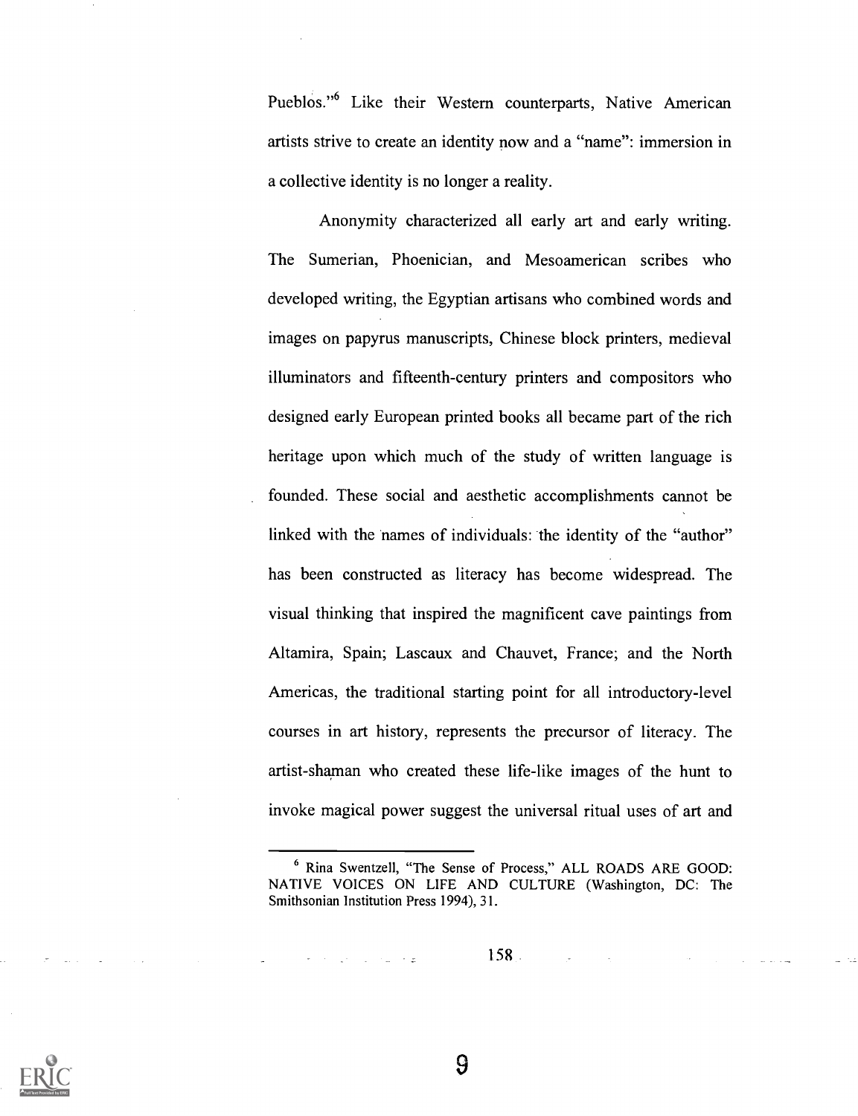Pueblos."6 Like their Western counterparts, Native American artists strive to create an identity now and a "name": immersion in a collective identity is no longer a reality.

Anonymity characterized all early art and early writing. The Sumerian, Phoenician, and Mesoamerican scribes who developed writing, the Egyptian artisans who combined words and images on papyrus manuscripts, Chinese block printers, medieval illuminators and fifteenth-century printers and compositors who designed early European printed books all became part of the rich heritage upon which much of the study of written language is founded. These social and aesthetic accomplishments cannot be linked with the names of individuals: the identity of the "author" has been constructed as literacy has become widespread. The visual thinking that inspired the magnificent cave paintings from Altamira, Spain; Lascaux and Chauvet, France; and the North Americas, the traditional starting point for all introductory-level courses in art history, represents the precursor of literacy. The artist-shaman who created these life-like images of the hunt to invoke magical power suggest the universal ritual uses of art and

6 Rina Swentzell, "The Sense of Process," ALL ROADS ARE GOOD: NATIVE VOICES ON LIFE AND CULTURE (Washington, DC: The Smithsonian Institution Press 1994), 31.

158

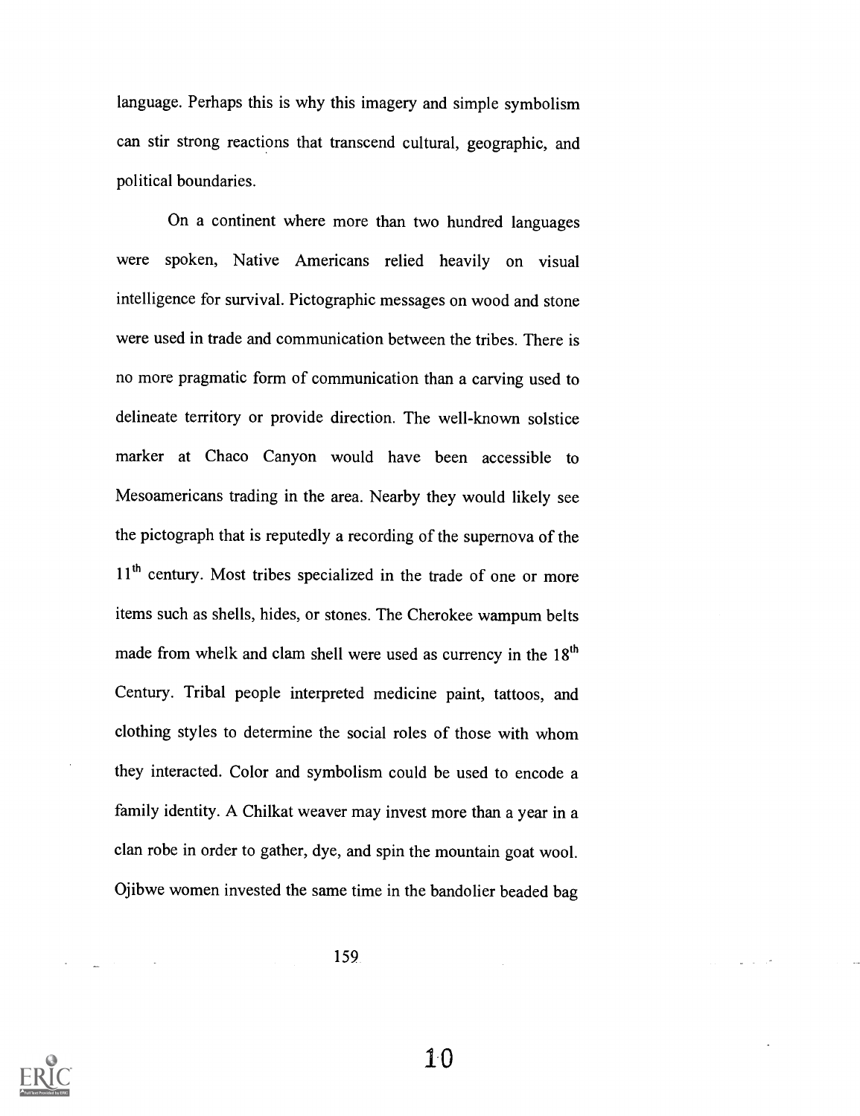language. Perhaps this is why this imagery and simple symbolism can stir strong reactions that transcend cultural, geographic, and political boundaries.

On a continent where more than two hundred languages were spoken, Native Americans relied heavily on visual intelligence for survival. Pictographic messages on wood and stone were used in trade and communication between the tribes. There is no more pragmatic form of communication than a carving used to delineate territory or provide direction. The well-known solstice marker at Chaco Canyon would have been accessible to Mesoamericans trading in the area. Nearby they would likely see the pictograph that is reputedly a recording of the supernova of the 11<sup>th</sup> century. Most tribes specialized in the trade of one or more items such as shells, hides, or stones. The Cherokee wampum belts made from whelk and clam shell were used as currency in the  $18<sup>th</sup>$ Century. Tribal people interpreted medicine paint, tattoos, and clothing styles to determine the social roles of those with whom they interacted. Color and symbolism could be used to encode a family identity. A Chilkat weaver may invest more than a year in a clan robe in order to gather, dye, and spin the mountain goat wool. Ojibwe women invested the same time in the bandolier beaded bag

159

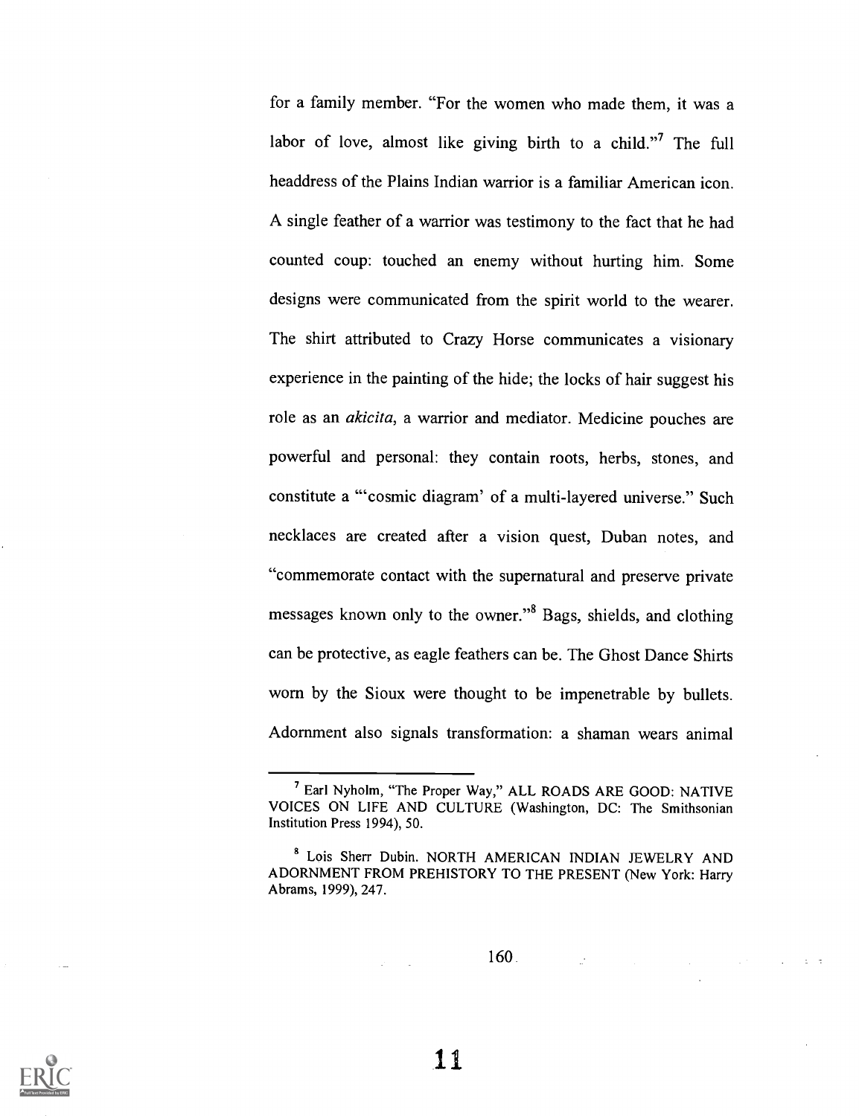for a family member. "For the women who made them, it was a labor of love, almost like giving birth to a child."<sup>7</sup> The full headdress of the Plains Indian warrior is a familiar American icon. A single feather of a warrior was testimony to the fact that he had counted coup: touched an enemy without hurting him. Some designs were communicated from the spirit world to the wearer. The shirt attributed to Crazy Horse communicates a visionary experience in the painting of the hide; the locks of hair suggest his role as an akicita, a warrior and mediator. Medicine pouches are powerful and personal: they contain roots, herbs, stones, and constitute a "cosmic diagram' of a multi-layered universe." Such necklaces are created after a vision quest, Duban notes, and "commemorate contact with the supernatural and preserve private messages known only to the owner."8 Bags, shields, and clothing can be protective, as eagle feathers can be. The Ghost Dance Shirts worn by the Sioux were thought to be impenetrable by bullets. Adornment also signals transformation: a shaman wears animal

160

 $\mathcal{L}_{\mathcal{A}}$  ,  $\mathcal{L}_{\mathcal{A}}$  ,  $\mathcal{L}_{\mathcal{A}}$  ,  $\mathcal{L}_{\mathcal{A}}$  ,  $\mathcal{L}_{\mathcal{A}}$  ,  $\mathcal{L}_{\mathcal{A}}$ 



<sup>7</sup> Earl Nyholm, "The Proper Way," ALL ROADS ARE GOOD: NATIVE VOICES ON LIFE AND CULTURE (Washington, DC: The Smithsonian Institution Press 1994), 50.

<sup>8</sup> Lois Sherr Dubin. NORTH AMERICAN INDIAN JEWELRY AND ADORNMENT FROM PREHISTORY TO THE PRESENT (New York: Harry Abrams, 1999), 247.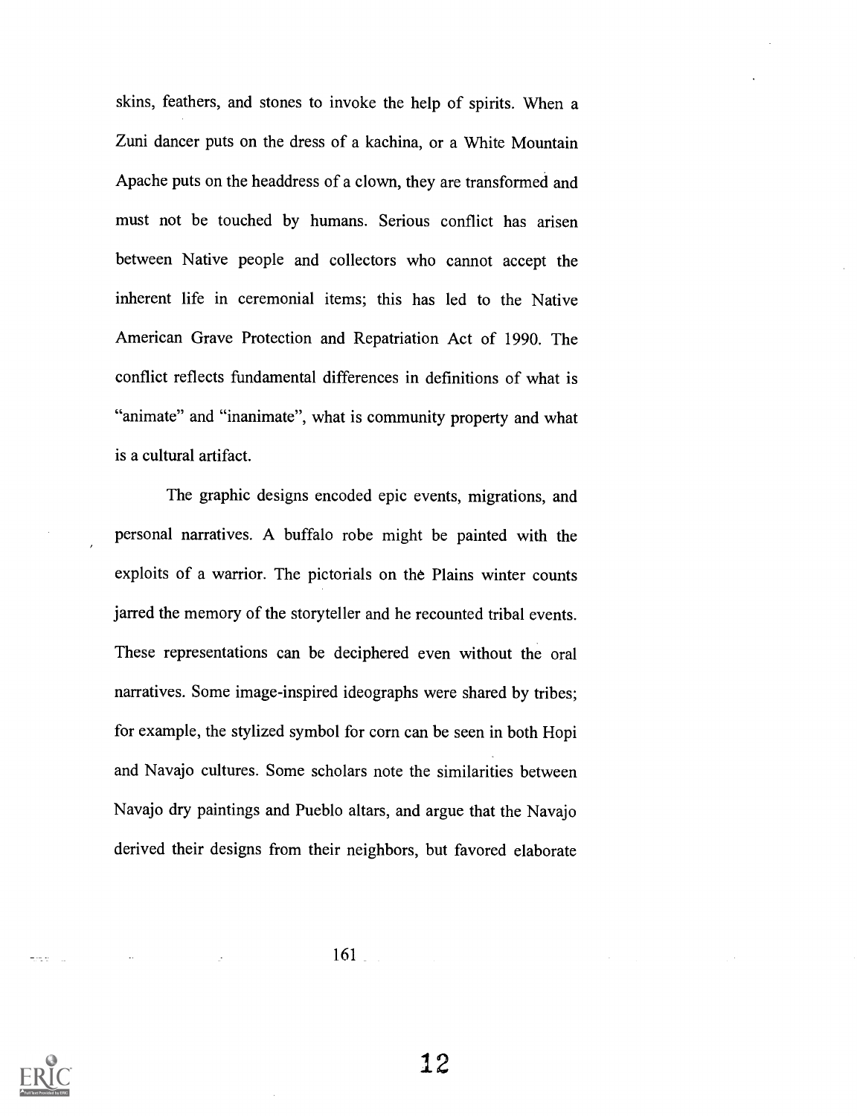skins, feathers, and stones to invoke the help of spirits. When a Zuni dancer puts on the dress of a kachina, or a White Mountain Apache puts on the headdress of a clown, they are transformed and must not be touched by humans. Serious conflict has arisen between Native people and collectors who cannot accept the inherent life in ceremonial items; this has led to the Native American Grave Protection and Repatriation Act of 1990. The conflict reflects fundamental differences in definitions of what is "animate" and "inanimate", what is community property and what is a cultural artifact.

The graphic designs encoded epic events, migrations, and personal narratives. A buffalo robe might be painted with the exploits of a warrior. The pictorials on the Plains winter counts jarred the memory of the storyteller and he recounted tribal events. These representations can be deciphered even without the oral narratives. Some image-inspired ideographs were shared by tribes; for example, the stylized symbol for corn can be seen in both Hopi and Navajo cultures. Some scholars note the similarities between Navajo dry paintings and Pueblo altars, and argue that the Navajo derived their designs from their neighbors, but favored elaborate

161

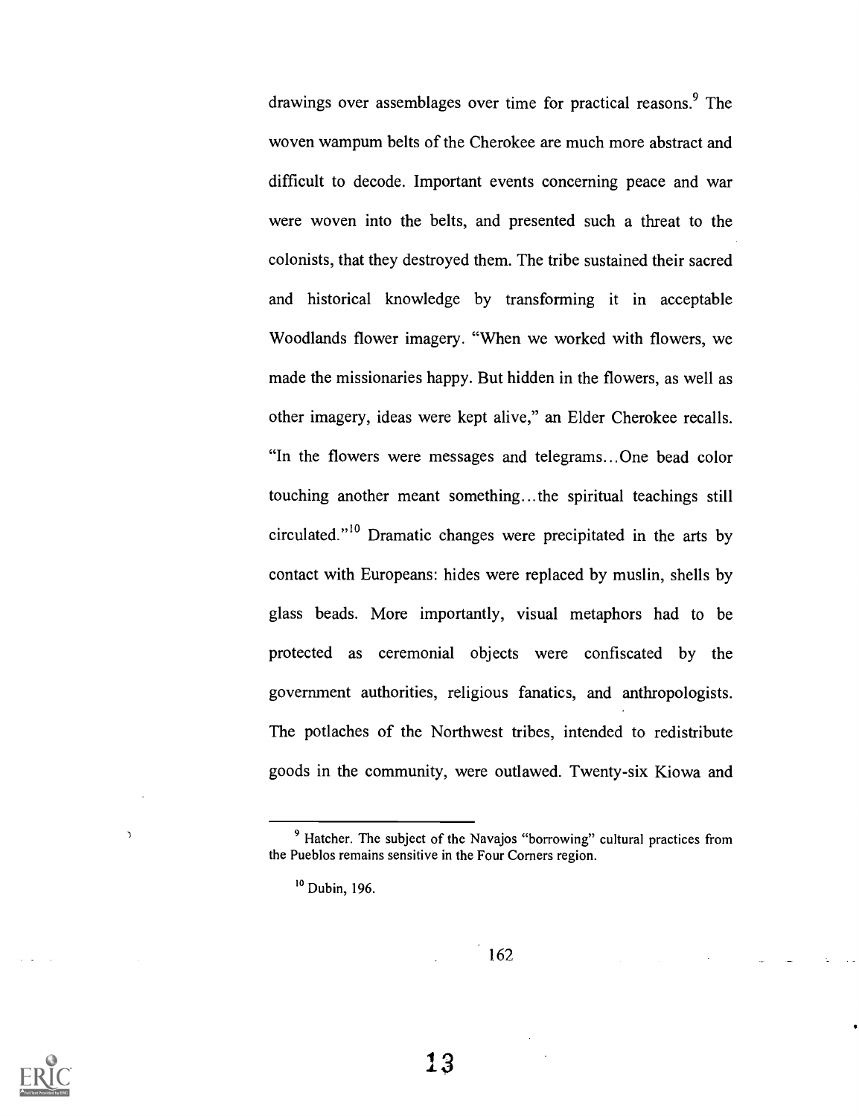drawings over assemblages over time for practical reasons.<sup>9</sup> The woven wampum belts of the Cherokee are much more abstract and difficult to decode. Important events concerning peace and war were woven into the belts, and presented such a threat to the colonists, that they destroyed them. The tribe sustained their sacred and historical knowledge by transforming it in acceptable Woodlands flower imagery. "When we worked with flowers, we made the missionaries happy. But hidden in the flowers, as well as other imagery, ideas were kept alive," an Elder Cherokee recalls. "In the flowers were messages and telegrams...One bead color touching another meant something...the spiritual teachings still circulated."19 Dramatic changes were precipitated in the arts by contact with Europeans: hides were replaced by muslin, shells by glass beads. More importantly, visual metaphors had to be protected as ceremonial objects were confiscated by the government authorities, religious fanatics, and anthropologists. The potlaches of the Northwest tribes, intended to redistribute goods in the community, were outlawed. Twenty-six Kiowa and

162



 $\overline{\phantom{a}}$ 

<sup>&</sup>lt;sup>9</sup> Hatcher. The subject of the Navajos "borrowing" cultural practices from the Pueblos remains sensitive in the Four Corners region.

 $10$  Dubin, 196.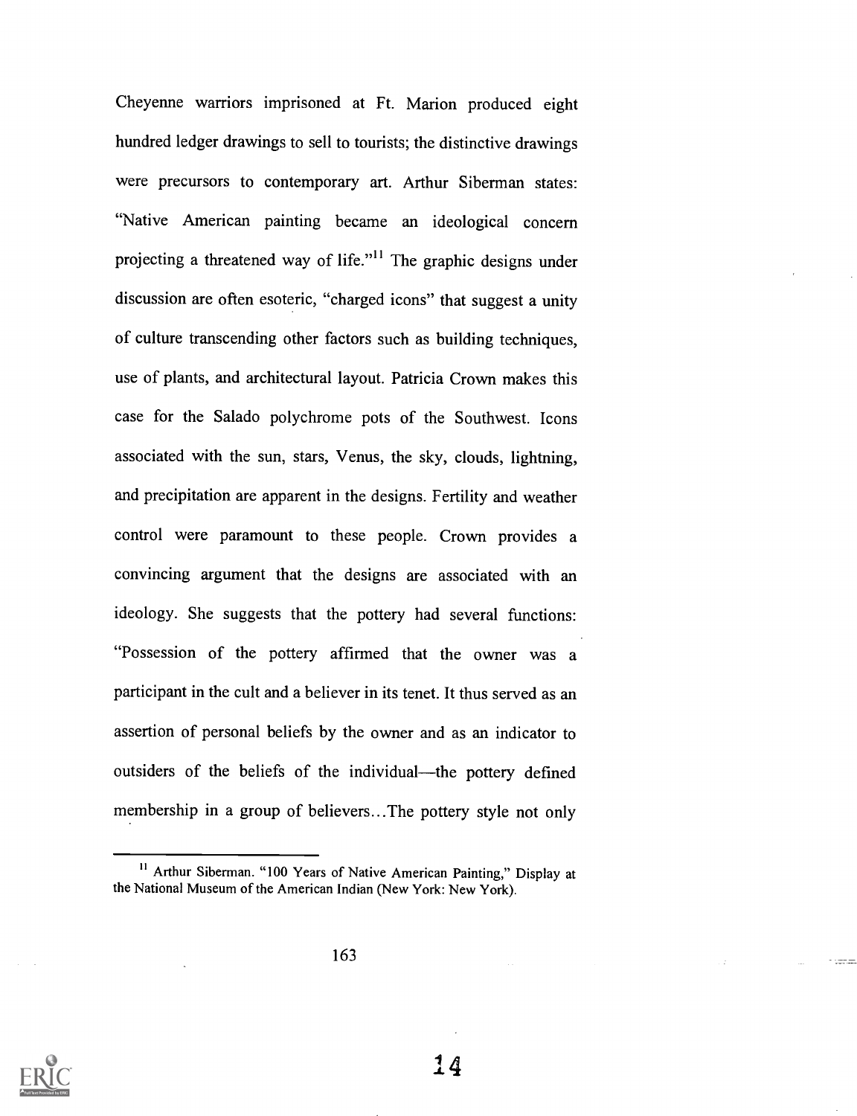Cheyenne warriors imprisoned at Ft. Marion produced eight hundred ledger drawings to sell to tourists; the distinctive drawings were precursors to contemporary art. Arthur Siberman states: "Native American painting became an ideological concern projecting a threatened way of life."<sup>11</sup> The graphic designs under discussion are often esoteric, "charged icons" that suggest a unity of culture transcending other factors such as building techniques, use of plants, and architectural layout. Patricia Crown makes this case for the Salado polychrome pots of the Southwest. Icons associated with the sun, stars, Venus, the sky, clouds, lightning, and precipitation are apparent in the designs. Fertility and weather control were paramount to these people. Crown provides a convincing argument that the designs are associated with an ideology. She suggests that the pottery had several functions: "Possession of the pottery affirmed that the owner was a participant in the cult and a believer in its tenet. It thus served as an assertion of personal beliefs by the owner and as an indicator to outsiders of the beliefs of the individual—the pottery defined membership in a group of believers...The pottery style not only



<sup>&</sup>lt;sup>11</sup> Arthur Siberman. "100 Years of Native American Painting," Display at the National Museum of the American Indian (New York: New York).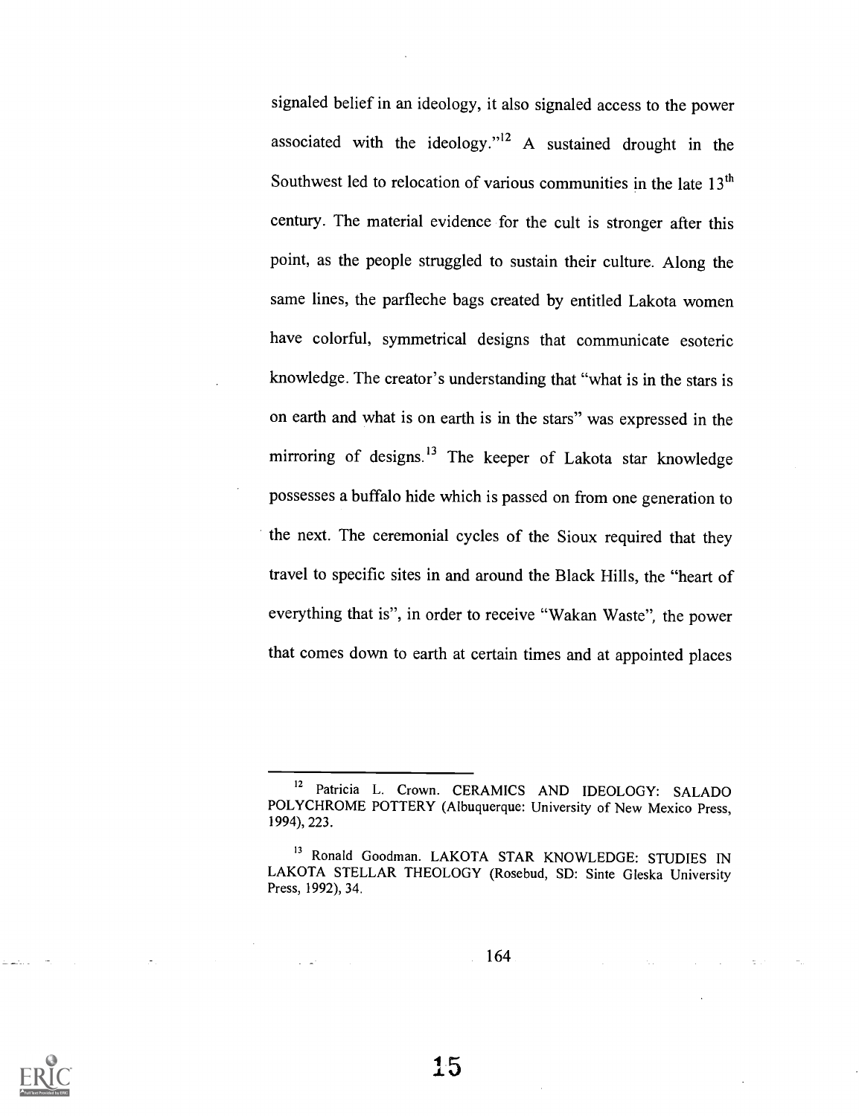signaled belief in an ideology, it also signaled access to the power associated with the ideology."I2 A sustained drought in the Southwest led to relocation of various communities in the late  $13<sup>th</sup>$ century. The material evidence for the cult is stronger after this point, as the people struggled to sustain their culture. Along the same lines, the parfleche bags created by entitled Lakota women have colorful, symmetrical designs that communicate esoteric knowledge. The creator's understanding that "what is in the stars is on earth and what is on earth is in the stars" was expressed in the mirroring of designs.<sup>13</sup> The keeper of Lakota star knowledge possesses a buffalo hide which is passed on from one generation to the next. The ceremonial cycles of the Sioux required that they travel to specific sites in and around the Black Hills, the "heart of everything that is", in order to receive "Wakan Waste", the power that comes down to earth at certain times and at appointed places

164



<sup>&</sup>lt;sup>12</sup> Patricia L. Crown. CERAMICS AND IDEOLOGY: SALADO POLYCHROME POTTERY (Albuquerque: University of New Mexico Press, 1994), 223.

<sup>&</sup>lt;sup>13</sup> Ronald Goodman. LAKOTA STAR KNOWLEDGE: STUDIES IN LAKOTA STELLAR THEOLOGY (Rosebud, SD: Sinte Gleska University Press, 1992), 34.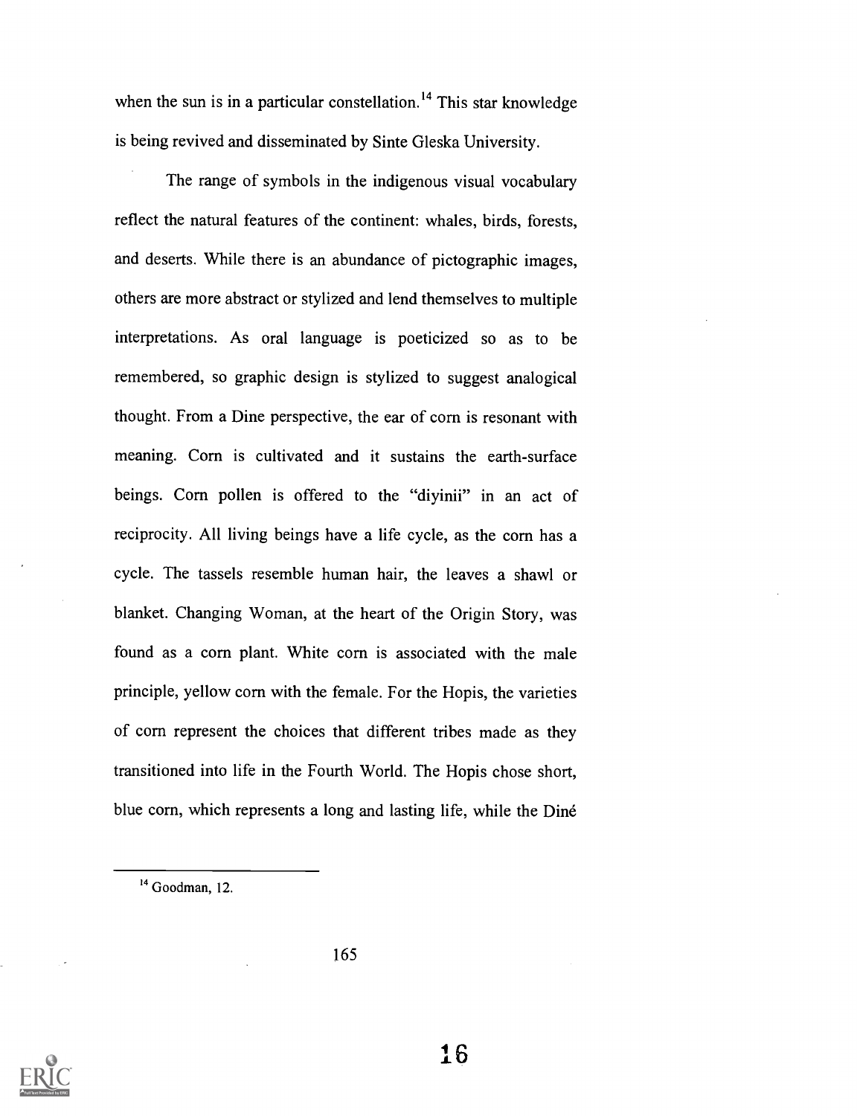when the sun is in a particular constellation.<sup>14</sup> This star knowledge is being revived and disseminated by Sinte Gleska University.

The range of symbols in the indigenous visual vocabulary reflect the natural features of the continent: whales, birds, forests, and deserts. While there is an abundance of pictographic images, others are more abstract or stylized and lend themselves to multiple interpretations. As oral language is poeticized so as to be remembered, so graphic design is stylized to suggest analogical thought. From a Dine perspective, the ear of corn is resonant with meaning. Corn is cultivated and it sustains the earth-surface beings. Corn pollen is offered to the "divinii" in an act of reciprocity. All living beings have a life cycle, as the corn has a cycle. The tassels resemble human hair, the leaves a shawl or blanket. Changing Woman, at the heart of the Origin Story, was found as a corn plant. White corn is associated with the male principle, yellow corn with the female. For the Hopis, the varieties of corn represent the choices that different tribes made as they transitioned into life in the Fourth World. The Hopis chose short, blue corn, which represents a long and lasting life, while the Dine

165



<sup>&</sup>lt;sup>14</sup> Goodman, 12.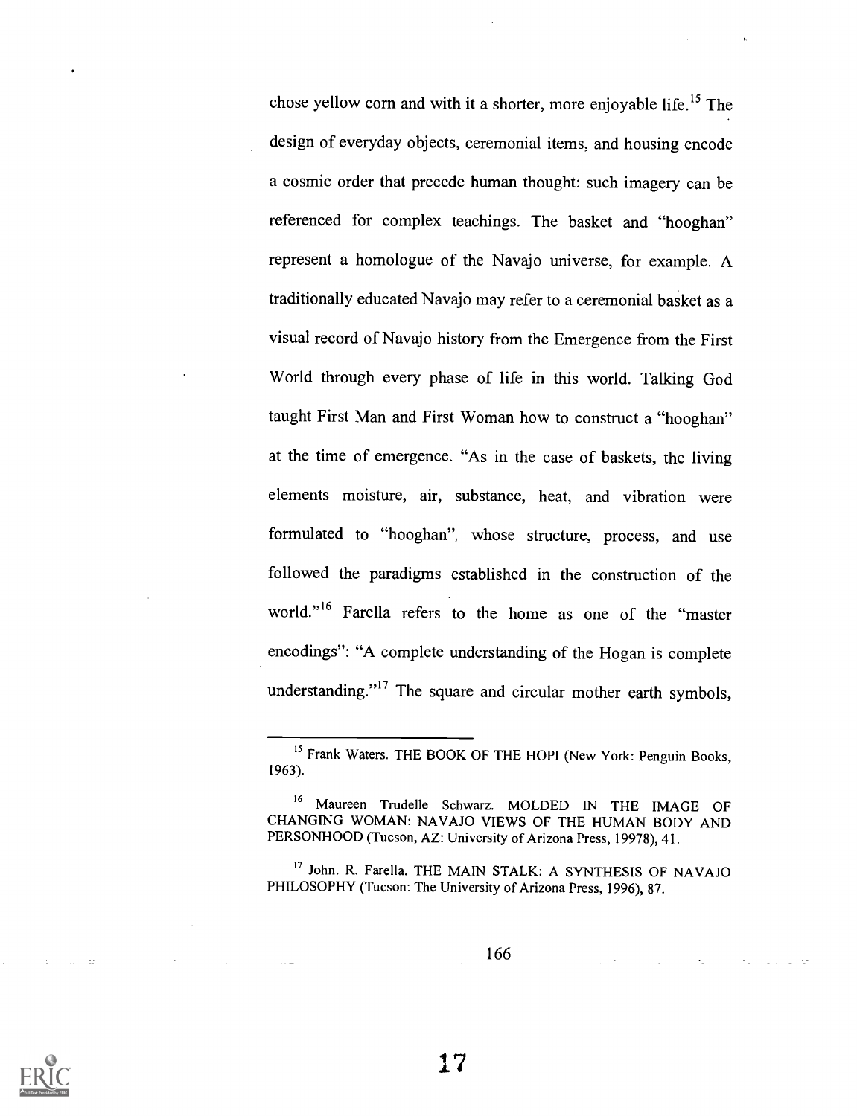chose yellow corn and with it a shorter, more enjoyable life.15 The design of everyday objects, ceremonial items, and housing encode a cosmic order that precede human thought: such imagery can be referenced for complex teachings. The basket and "hooghan" represent a homologue of the Navajo universe, for example. A traditionally educated Navajo may refer to a ceremonial basket as a visual record of Navajo history from the Emergence from the First World through every phase of life in this world. Talking God taught First Man and First Woman how to construct a "hooghan" at the time of emergence. "As in the case of baskets, the living elements moisture, air, substance, heat, and vibration were formulated to "hooghan", whose structure, process, and use followed the paradigms established in the construction of the world."16 Farella refers to the home as one of the "master encodings": "A complete understanding of the Hogan is complete understanding."<sup>17</sup> The square and circular mother earth symbols,

166



<sup>&</sup>lt;sup>15</sup> Frank Waters. THE BOOK OF THE HOPI (New York: Penguin Books, 1963).

<sup>16</sup> Maureen Trudelle Schwarz. MOLDED IN THE IMAGE OF CHANGING WOMAN: NAVAJO VIEWS OF THE HUMAN BODY AND PERSONHOOD (Tucson, AZ: University of Arizona Press, 19978), 41.

<sup>&</sup>lt;sup>17</sup> John. R. Farella. THE MAIN STALK: A SYNTHESIS OF NAVAJO PHILOSOPHY (Tucson: The University of Arizona Press, 1996), 87.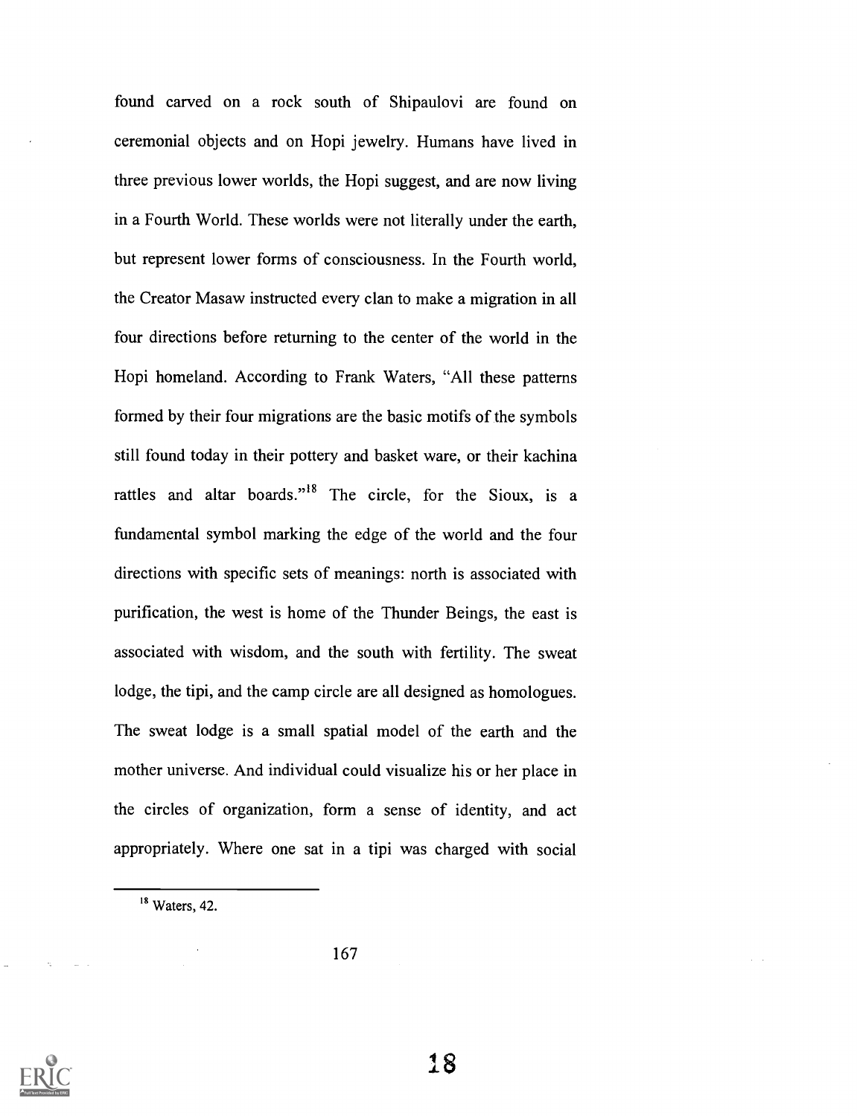found carved on a rock south of Shipaulovi are found on ceremonial objects and on Hopi jewelry. Humans have lived in three previous lower worlds, the Hopi suggest, and are now living in a Fourth World. These worlds were not literally under the earth, but represent lower forms of consciousness. In the Fourth world, the Creator Masaw instructed every clan to make a migration in all four directions before returning to the center of the world in the Hopi homeland. According to Frank Waters, "All these patterns formed by their four migrations are the basic motifs of the symbols still found today in their pottery and basket ware, or their kachina rattles and altar boards."<sup>18</sup> The circle, for the Sioux, is a fundamental symbol marking the edge of the world and the four directions with specific sets of meanings: north is associated with purification, the west is home of the Thunder Beings, the east is associated with wisdom, and the south with fertility. The sweat lodge, the tipi, and the camp circle are all designed as homologues. The sweat lodge is a small spatial model of the earth and the mother universe. And individual could visualize his or her place in the circles of organization, form a sense of identity, and act appropriately. Where one sat in a tipi was charged with social



<sup>&</sup>lt;sup>18</sup> Waters, 42.

<sup>167</sup>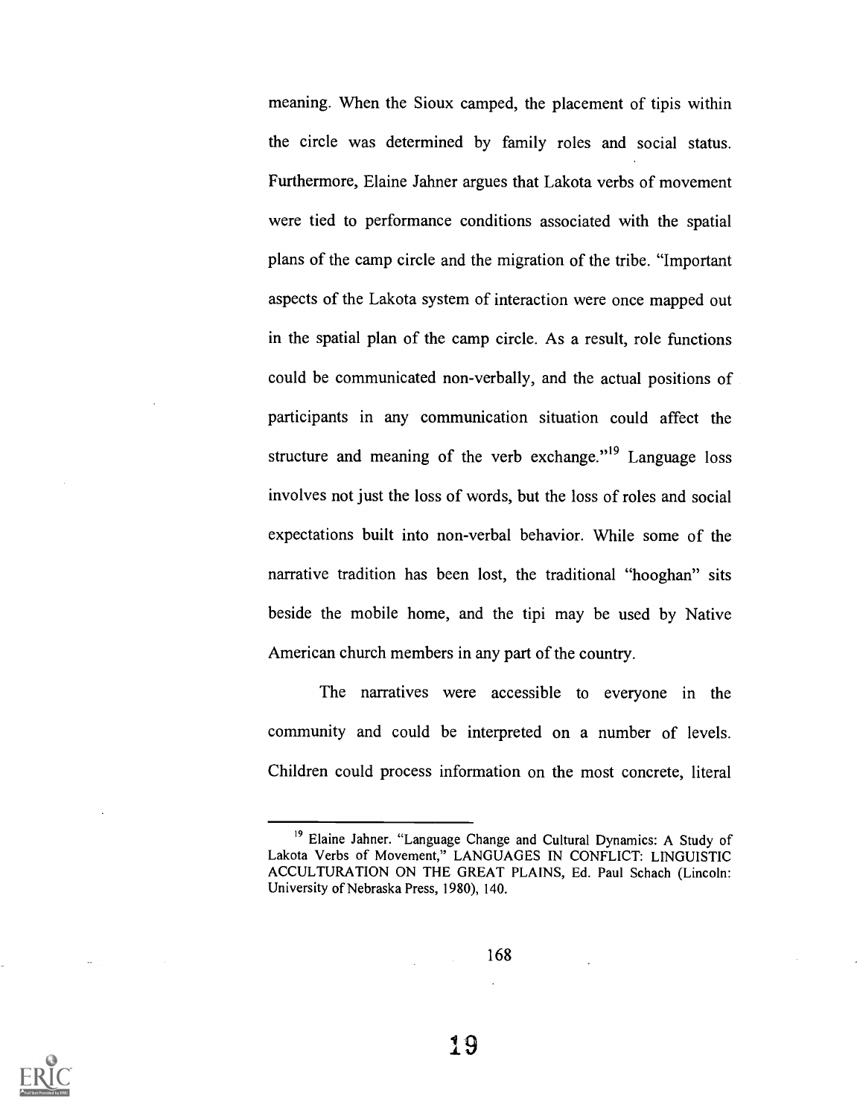meaning. When the Sioux camped, the placement of tipis within the circle was determined by family roles and social status. Furthermore, Elaine Jahner argues that Lakota verbs of movement were tied to performance conditions associated with the spatial plans of the camp circle and the migration of the tribe. "Important aspects of the Lakota system of interaction were once mapped out in the spatial plan of the camp circle. As a result, role functions could be communicated non-verbally, and the actual positions of participants in any communication situation could affect the structure and meaning of the verb exchange."<sup>19</sup> Language loss involves not just the loss of words, but the loss of roles and social expectations built into non-verbal behavior. While some of the narrative tradition has been lost, the traditional "hooghan" sits beside the mobile home, and the tipi may be used by Native American church members in any part of the country.

The narratives were accessible to everyone in the community and could be interpreted on a number of levels. Children could process information on the most concrete, literal

168



<sup>&</sup>lt;sup>19</sup> Elaine Jahner. "Language Change and Cultural Dynamics: A Study of Lakota Verbs of Movement," LANGUAGES IN CONFLICT: LINGUISTIC ACCULTURATION ON THE GREAT PLAINS, Ed. Paul Schach (Lincoln: University of Nebraska Press, 1980), 140.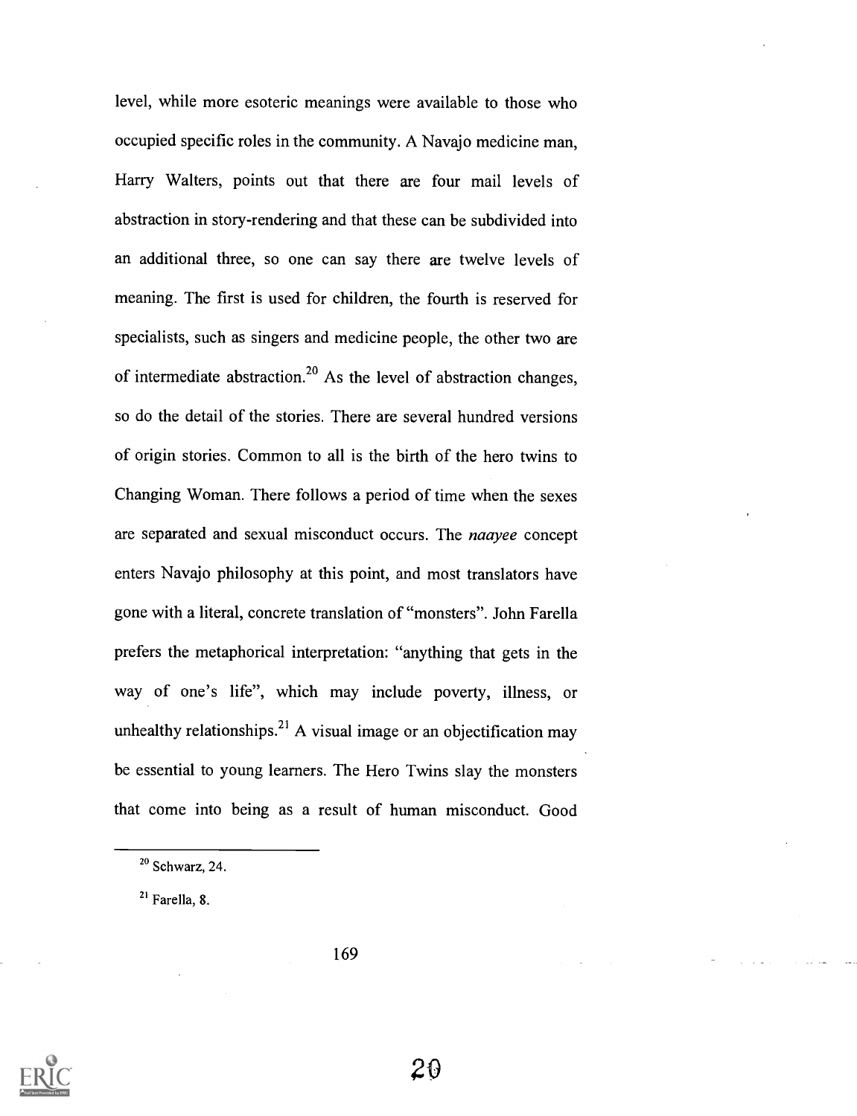level, while more esoteric meanings were available to those who occupied specific roles in the community. A Navajo medicine man, Harry Walters, points out that there are four mail levels of abstraction in story-rendering and that these can be subdivided into an additional three, so one can say there are twelve levels of meaning. The first is used for children, the fourth is reserved for specialists, such as singers and medicine people, the other two are of intermediate abstraction.<sup>20</sup> As the level of abstraction changes, so do the detail of the stories. There are several hundred versions of origin stories. Common to all is the birth of the hero twins to Changing Woman. There follows a period of time when the sexes are separated and sexual misconduct occurs. The *naayee* concept enters Navajo philosophy at this point, and most translators have gone with a literal, concrete translation of "monsters". John Farella prefers the metaphorical interpretation: "anything that gets in the way of one's life", which may include poverty, illness, or unhealthy relationships.<sup>21</sup> A visual image or an objectification may be essential to young learners. The Hero Twins slay the monsters that come into being as a result of human misconduct. Good

21 Farella, 8.



 $20$  Schwarz, 24.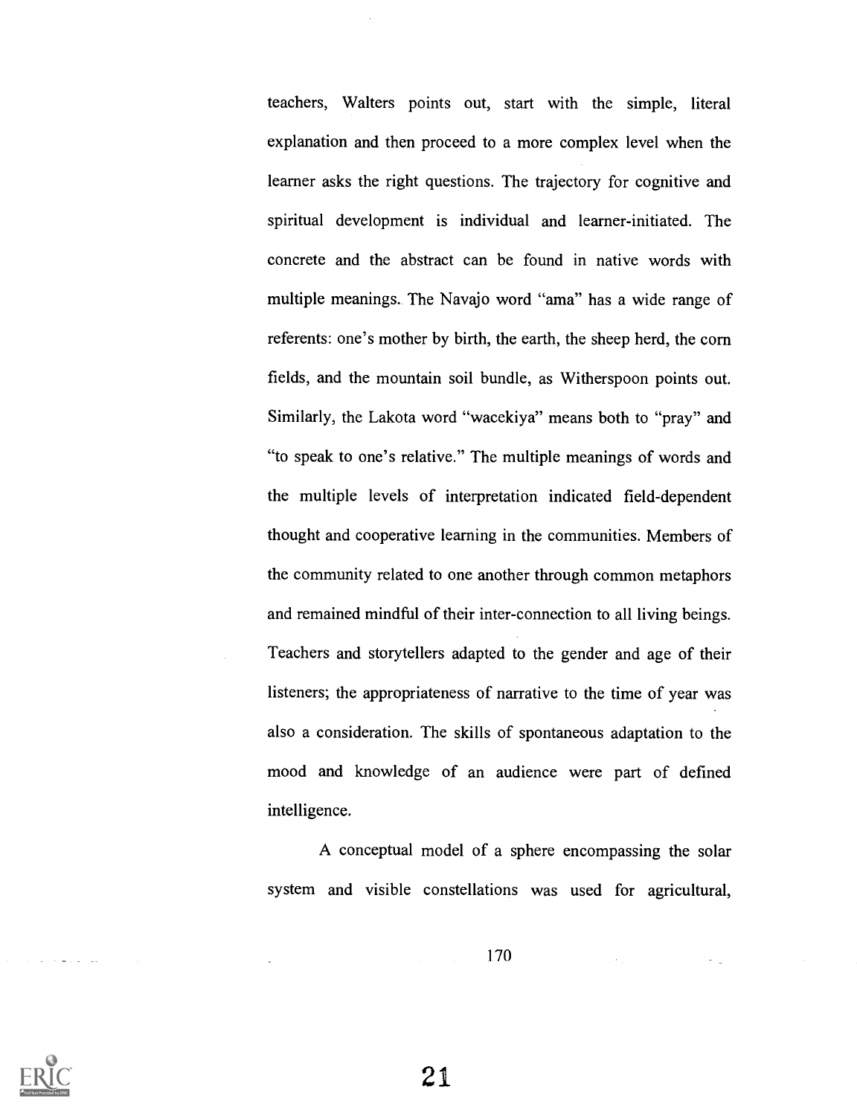teachers, Walters points out, start with the simple, literal explanation and then proceed to a more complex level when the learner asks the right questions. The trajectory for cognitive and spiritual development is individual and learner-initiated. The concrete and the abstract can be found in native words with multiple meanings.. The Navajo word "ama" has a wide range of referents: one's mother by birth, the earth, the sheep herd, the corn fields, and the mountain soil bundle, as Witherspoon points out. Similarly, the Lakota word "wacekiya" means both to "pray" and "to speak to one's relative." The multiple meanings of words and the multiple levels of interpretation indicated field-dependent thought and cooperative learning in the communities. Members of the community related to one another through common metaphors and remained mindful of their inter-connection to all living beings. Teachers and storytellers adapted to the gender and age of their listeners; the appropriateness of narrative to the time of year was also a consideration. The skills of spontaneous adaptation to the mood and knowledge of an audience were part of defined intelligence.

A conceptual model of a sphere encompassing the solar system and visible constellations was used for agricultural,

170

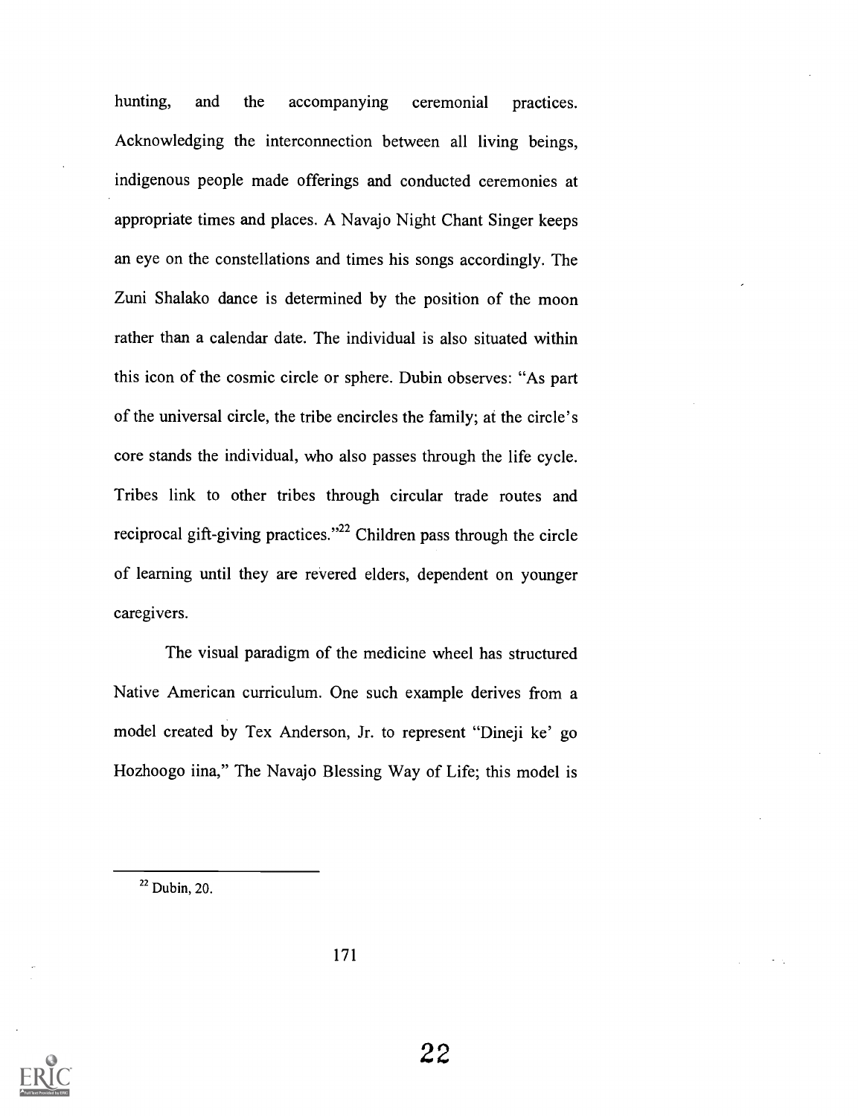hunting, and the accompanying ceremonial practices. Acknowledging the interconnection between all living beings, indigenous people made offerings and conducted ceremonies at appropriate times and places. A Navajo Night Chant Singer keeps an eye on the constellations and times his songs accordingly. The Zuni Shalako dance is determined by the position of the moon rather than a calendar date. The individual is also situated within this icon of the cosmic circle or sphere. Dubin observes: "As part of the universal circle, the tribe encircles the family; at the circle's core stands the individual, who also passes through the life cycle. Tribes link to other tribes through circular trade routes and reciprocal gift-giving practices."22 Children pass through the circle of learning until they are revered elders, dependent on younger caregivers.

The visual paradigm of the medicine wheel has structured Native American curriculum. One such example derives from a model created by Tex Anderson, Jr. to represent "Dineji ke' go Hozhoogo iina," The Navajo Blessing Way of Life; this model is



 $22$  Dubin, 20.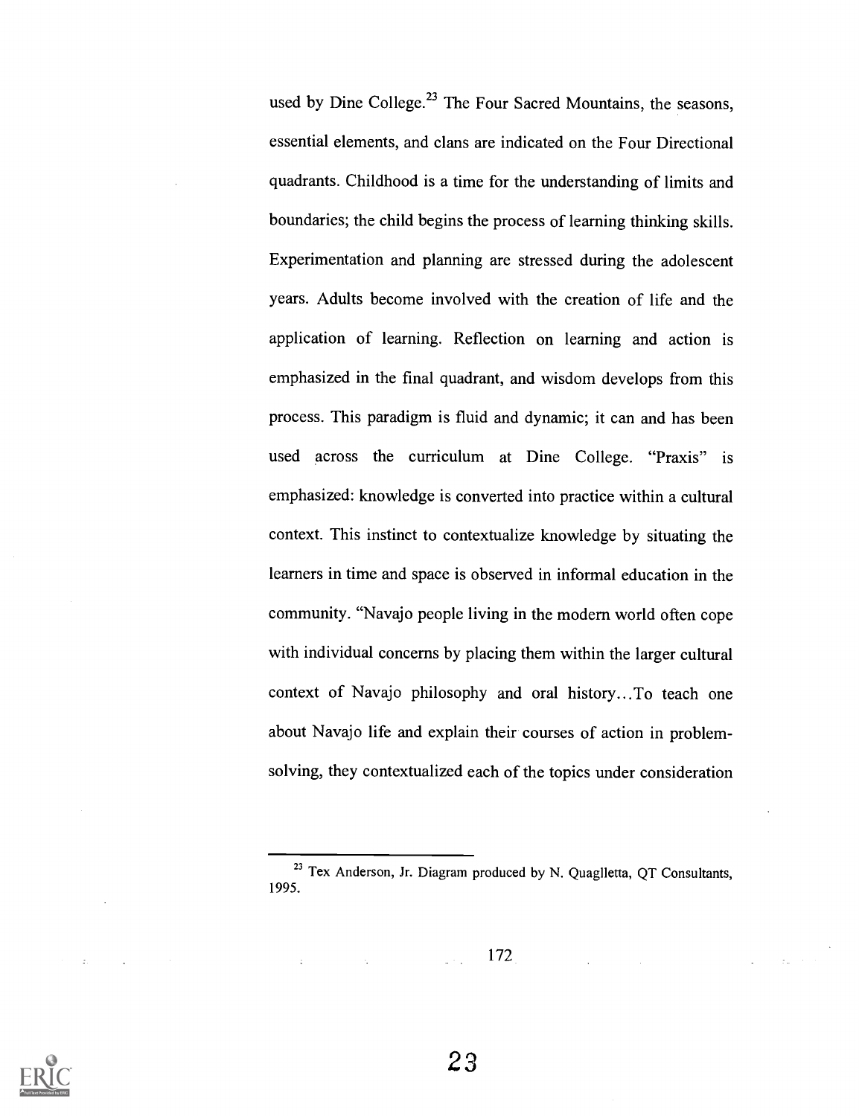used by Dine College.<sup>23</sup> The Four Sacred Mountains, the seasons, essential elements, and clans are indicated on the Four Directional quadrants. Childhood is a time for the understanding of limits and boundaries; the child begins the process of learning thinking skills. Experimentation and planning are stressed during the adolescent years. Adults become involved with the creation of life and the application of learning. Reflection on learning and action is emphasized in the final quadrant, and wisdom develops from this process. This paradigm is fluid and dynamic; it can and has been used across the curriculum at Dine College. "Praxis" is emphasized: knowledge is converted into practice within a cultural context. This instinct to contextualize knowledge by situating the learners in time and space is observed in informal education in the community. "Navajo people living in the modern world often cope with individual concerns by placing them within the larger cultural context of Navajo philosophy and oral history...To teach one about Navajo life and explain their courses of action in problemsolving, they contextualized each of the topics under consideration

172



<sup>&</sup>lt;sup>23</sup> Tex Anderson, Jr. Diagram produced by N. Quaglletta, QT Consultants, 1995.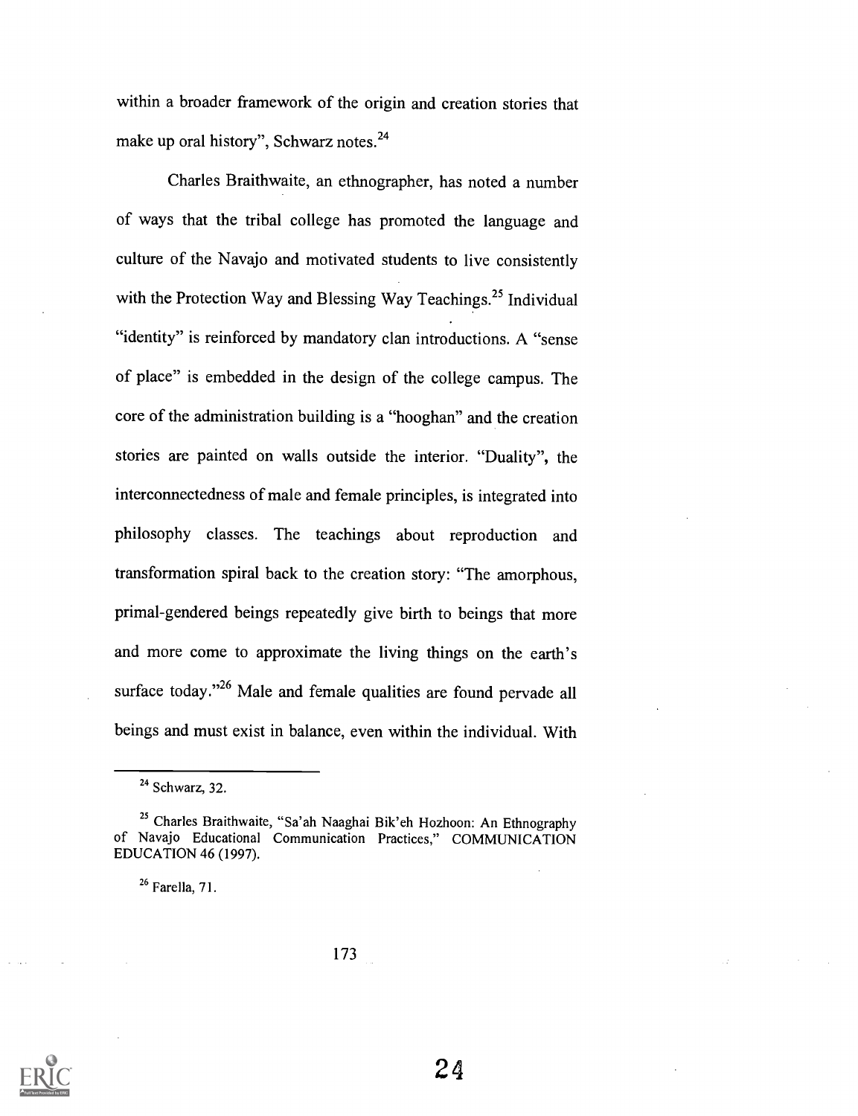within a broader framework of the origin and creation stories that make up oral history", Schwarz notes.<sup>24</sup>

Charles Braithwaite, an ethnographer, has noted a number of ways that the tribal college has promoted the language and culture of the Navajo and motivated students to live consistently with the Protection Way and Blessing Way Teachings.<sup>25</sup> Individual "identity" is reinforced by mandatory clan introductions. A "sense of place" is embedded in the design of the college campus. The core of the administration building is a "hooghan" and the creation stories are painted on walls outside the interior. "Duality", the interconnectedness of male and female principles, is integrated into philosophy classes. The teachings about reproduction and transformation spiral back to the creation story: "The amorphous, primal-gendered beings repeatedly give birth to beings that more and more come to approximate the living things on the earth's surface today."<sup>26</sup> Male and female qualities are found pervade all beings and must exist in balance, even within the individual. With

 $26$  Farella, 71.



 $24$  Schwarz, 32.

<sup>&</sup>lt;sup>25</sup> Charles Braithwaite, "Sa'ah Naaghai Bik'eh Hozhoon: An Ethnography of Navajo Educational Communication Practices," COMMUNICATION EDUCATION 46 (1997).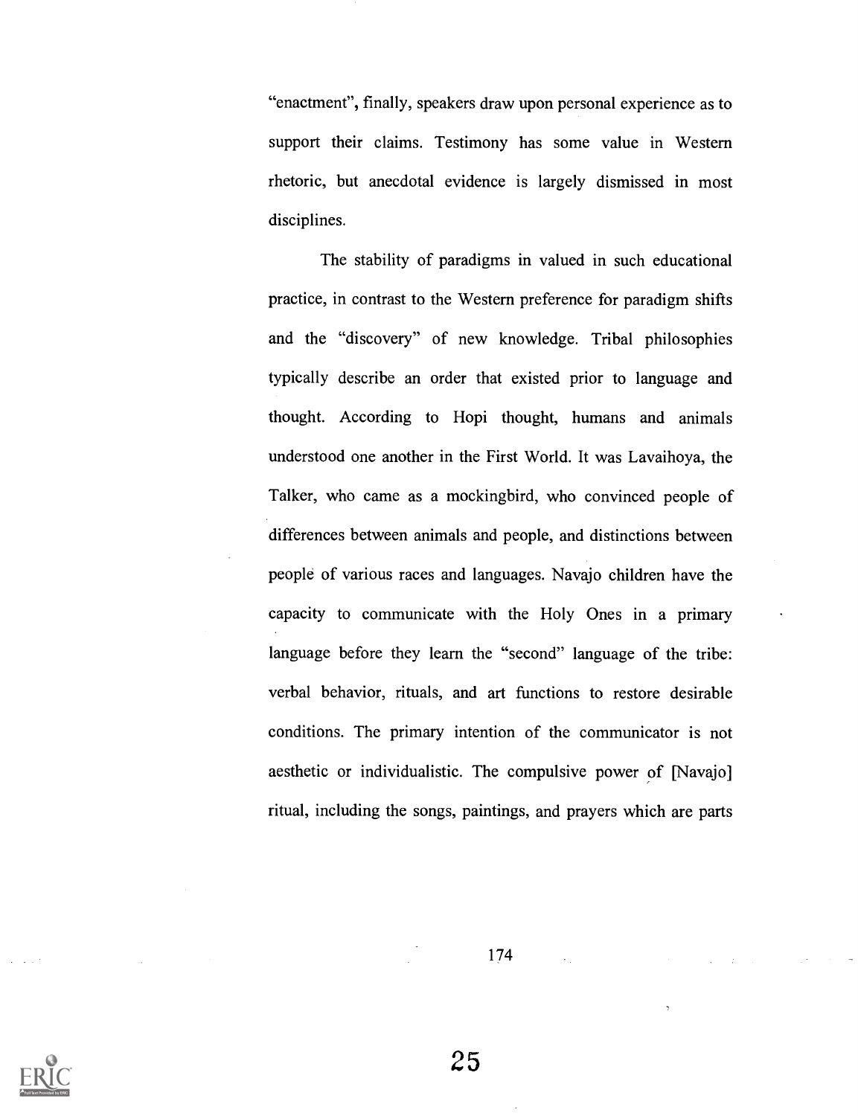"enactment", finally, speakers draw upon personal experience as to support their claims. Testimony has some value in Western rhetoric, but anecdotal evidence is largely dismissed in most disciplines.

The stability of paradigms in valued in such educational practice, in contrast to the Western preference for paradigm shifts and the "discovery" of new knowledge. Tribal philosophies typically describe an order that existed prior to language and thought. According to Hopi thought, humans and animals understood one another in the First World. It was Lavaihoya, the Talker, who came as a mockingbird, who convinced people of differences between animals and people, and distinctions between people of various races and languages. Navajo children have the capacity to communicate with the Holy Ones in a primary language before they learn the "second" language of the tribe: verbal behavior, rituals, and art functions to restore desirable conditions. The primary intention of the communicator is not aesthetic or individualistic. The compulsive power of [Navajo] ritual, including the songs, paintings, and prayers which are parts

174

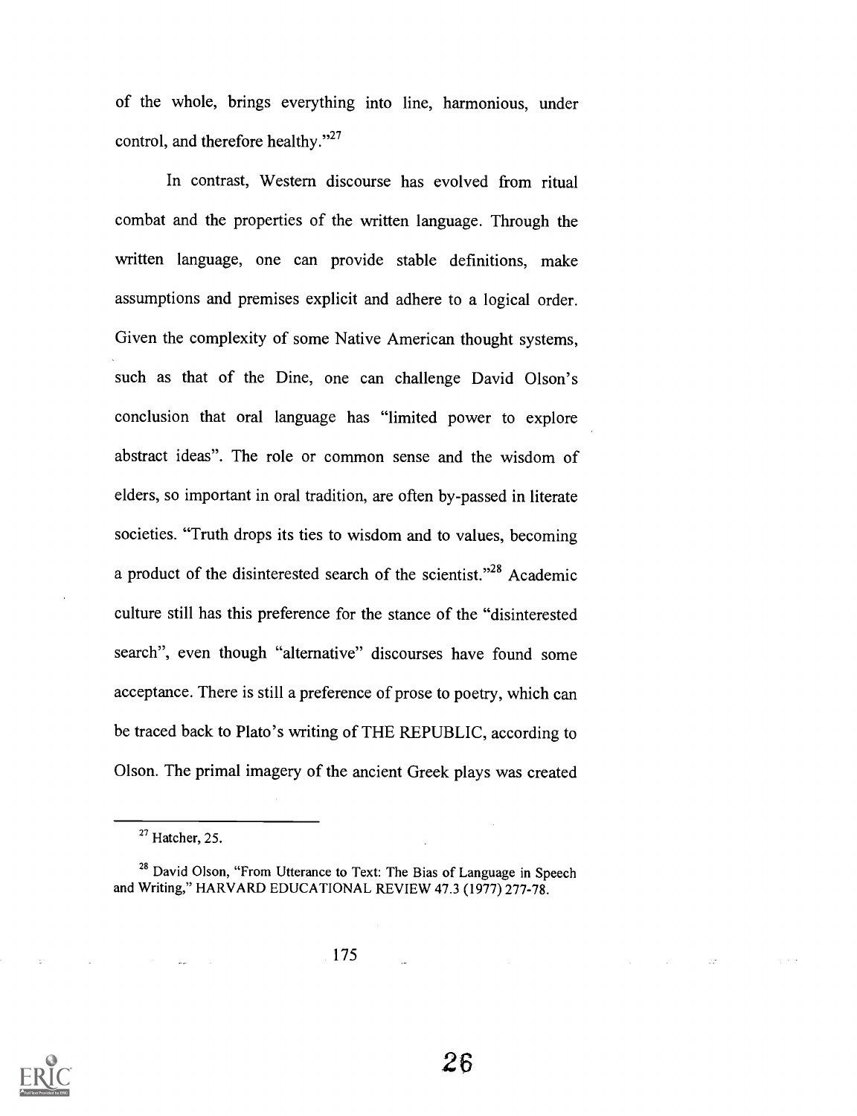of the whole, brings everything into line, harmonious, under control, and therefore healthy."27

In contrast, Western discourse has evolved from ritual combat and the properties of the written language. Through the written language, one can provide stable definitions, make assumptions and premises explicit and adhere to a logical order. Given the complexity of some Native American thought systems, such as that of the Dine, one can challenge David Olson's conclusion that oral language has "limited power to explore abstract ideas". The role or common sense and the wisdom of elders, so important in oral tradition, are often by-passed in literate societies. "Truth drops its ties to wisdom and to values, becoming a product of the disinterested search of the scientist."<sup>28</sup> Academic culture still has this preference for the stance of the "disinterested search", even though "alternative" discourses have found some acceptance. There is still a preference of prose to poetry, which can be traced back to Plato's writing of THE REPUBLIC, according to Olson. The primal imagery of the ancient Greek plays was created



 $27$  Hatcher, 25.

<sup>&</sup>lt;sup>28</sup> David Olson, "From Utterance to Text: The Bias of Language in Speech and Writing," HARVARD EDUCATIONAL REVIEW 47.3 (1977) 277-78.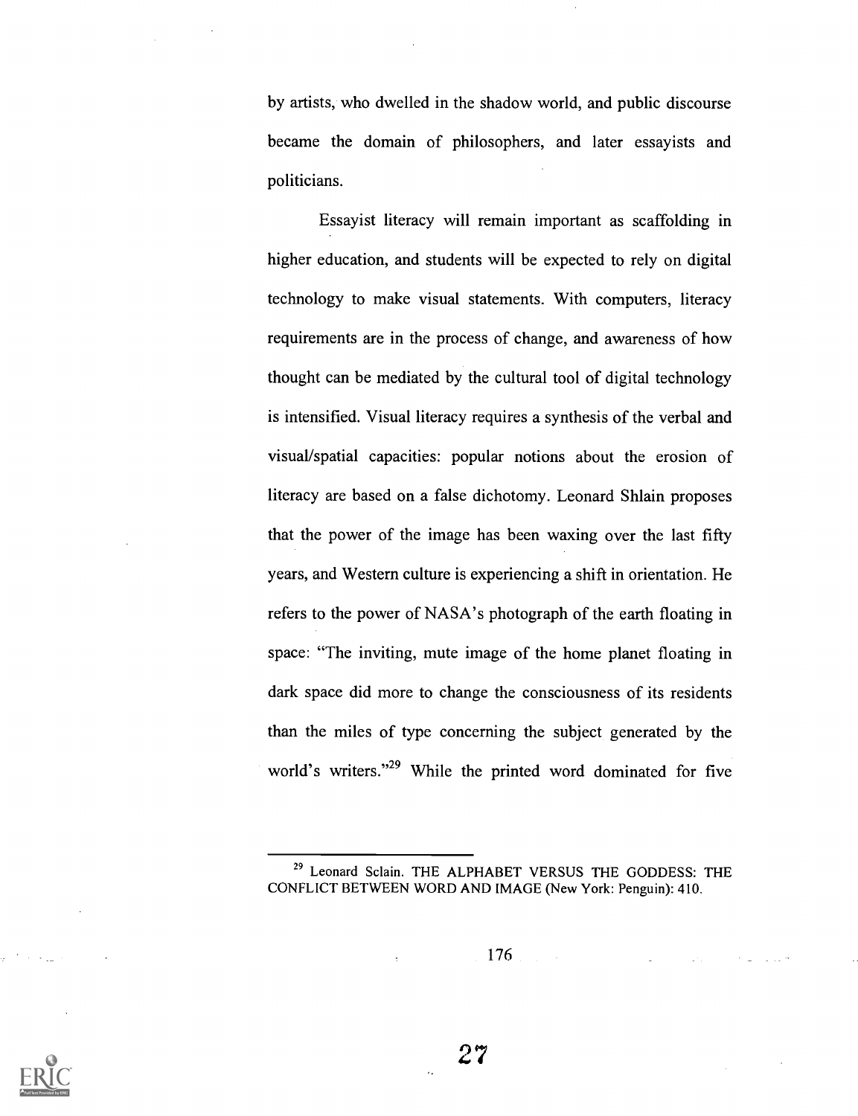by artists, who dwelled in the shadow world, and public discourse became the domain of philosophers, and later essayists and politicians.

Essayist literacy will remain important as scaffolding in higher education, and students will be expected to rely on digital technology to make visual statements. With computers, literacy requirements are in the process of change, and awareness of how thought can be mediated by the cultural tool of digital technology is intensified. Visual literacy requires a synthesis of the verbal and visual/spatial capacities: popular notions about the erosion of literacy are based on a false dichotomy. Leonard Shlain proposes that the power of the image has been waxing over the last fifty years, and Western culture is experiencing a shift in orientation. He refers to the power of NASA's photograph of the earth floating in space: "The inviting, mute image of the home planet floating in dark space did more to change the consciousness of its residents than the miles of type concerning the subject generated by the world's writers."<sup>29</sup> While the printed word dominated for five



<sup>29</sup> Leonard Sclain. THE ALPHABET VERSUS THE GODDESS: THE CONFLICT BETWEEN WORD AND IMAGE (New York: Penguin): 410.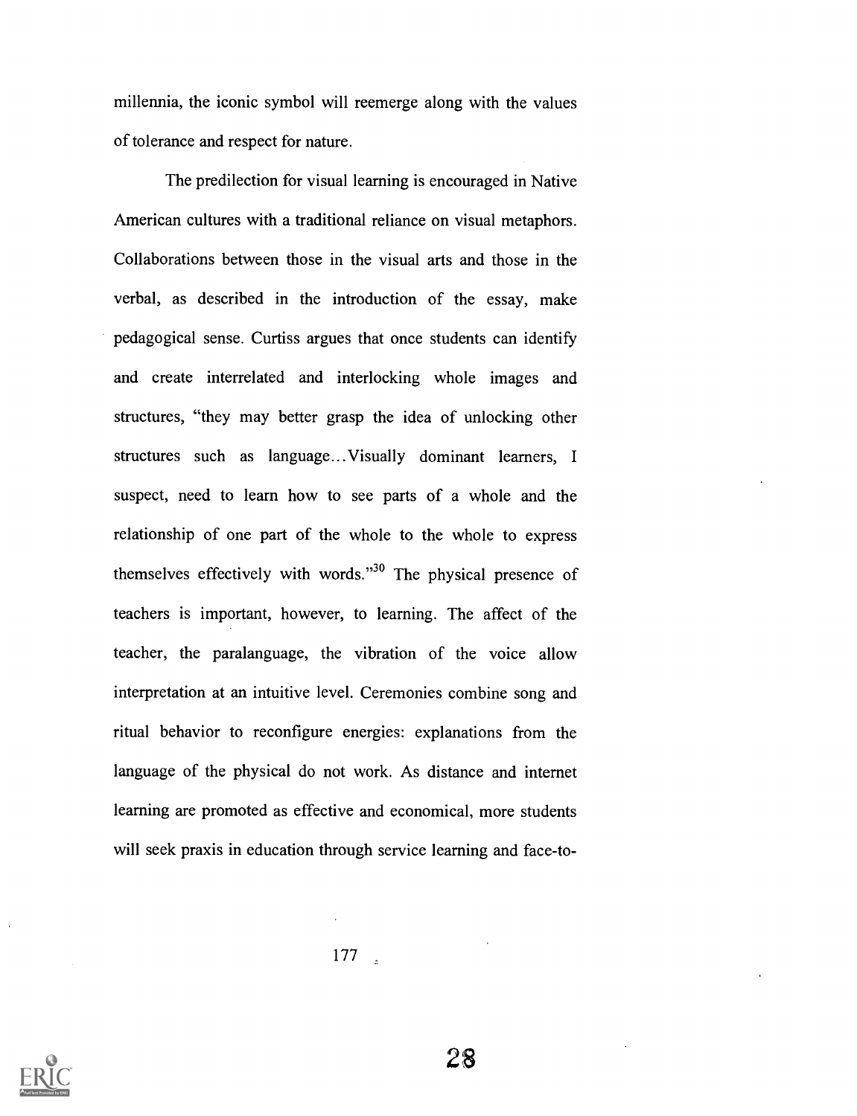millennia, the iconic symbol will reemerge along with the values of tolerance and respect for nature.

The predilection for visual learning is encouraged in Native American cultures with a traditional reliance on visual metaphors. Collaborations between those in the visual arts and those in the verbal, as described in the introduction of the essay, make pedagogical sense. Curtiss argues that once students can identify and create interrelated and interlocking whole images and structures, "they may better grasp the idea of unlocking other structures such as language... Visually dominant learners, I suspect, need to learn how to see parts of a whole and the relationship of one part of the whole to the whole to express themselves effectively with words. $130$  The physical presence of teachers is important, however, to learning. The affect of the teacher, the paralanguage, the vibration of the voice allow interpretation at an intuitive level. Ceremonies combine song and ritual behavior to reconfigure energies: explanations from the language of the physical do not work. As distance and internet learning are promoted as effective and economical, more students will seek praxis in education through service learning and face-to-

177

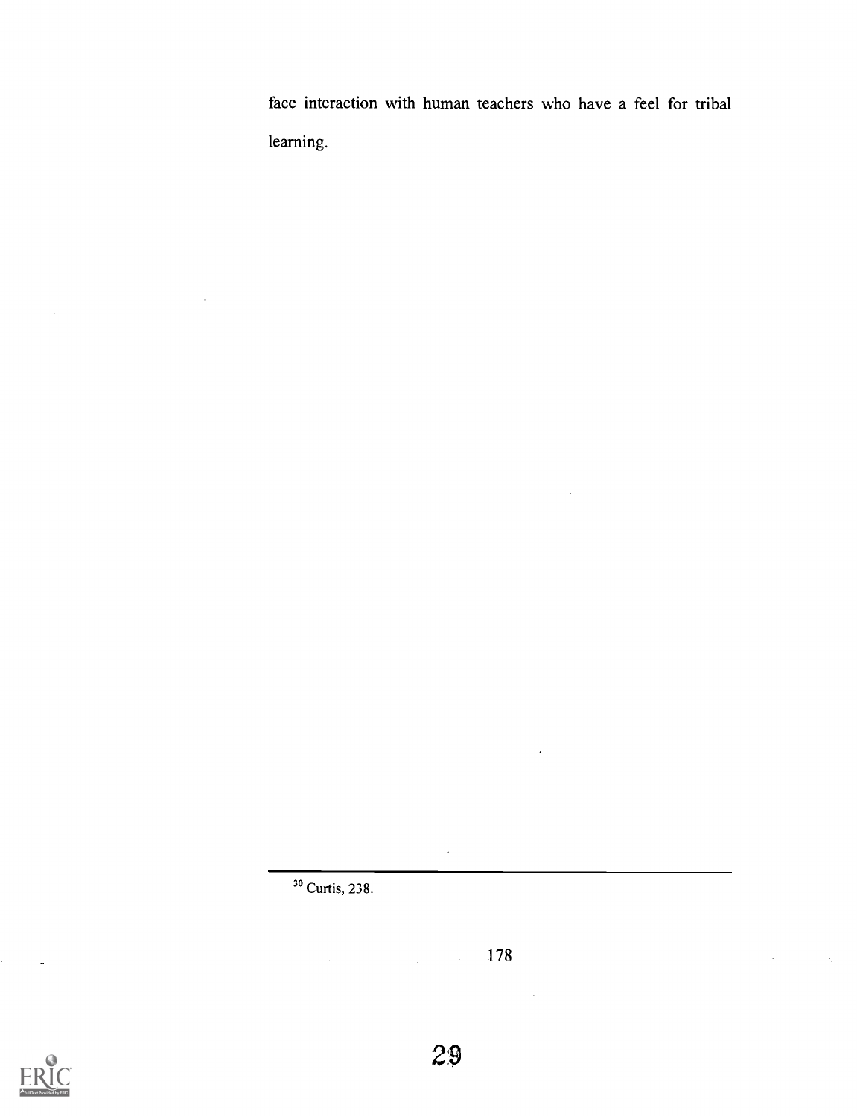face interaction with human teachers who have a feel for tribal learning.

 $\overline{a}$ 

178

 $\bar{z}$ 



 $\ddot{\phantom{a}}$ 

29

 $\ddot{\phantom{a}}$ 

<sup>3°</sup> Curtis, 238.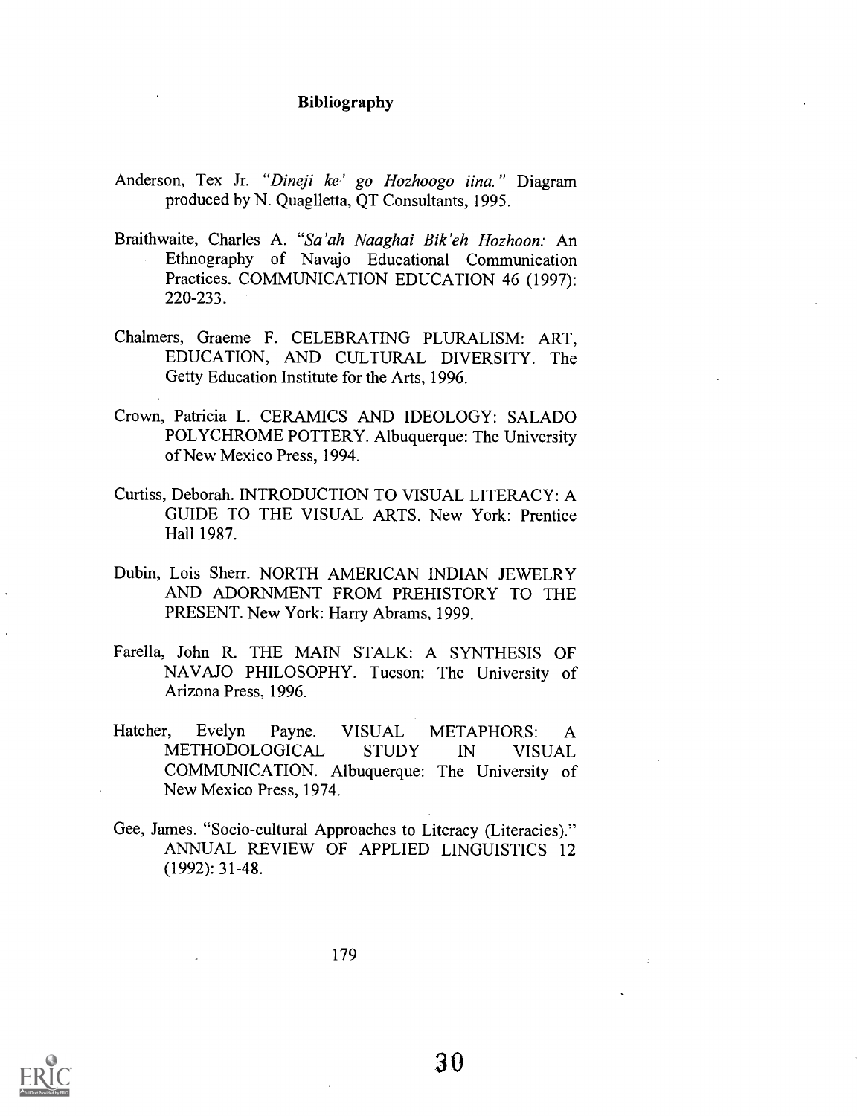#### Bibliography

- Anderson, Tex Jr. "Dineji ke' go Hozhoogo iina." Diagram produced by N. Quaglletta, QT Consultants, 1995.
- Braithwaite, Charles A. "Sa'ah Naaghai Bik'eh Hozhoon: An Ethnography of Navajo Educational Communication Practices. COMMUNICATION EDUCATION 46 (1997): 220-233.
- Chalmers, Graeme F. CELEBRATING PLURALISM: ART, EDUCATION, AND CULTURAL DIVERSITY. The Getty Education Institute for the Arts, 1996.
- Crown, Patricia L. CERAMICS AND IDEOLOGY: SALADO POLYCHROME POTTERY. Albuquerque: The University of New Mexico Press, 1994.
- Curtiss, Deborah. INTRODUCTION TO VISUAL LITERACY: A GUIDE TO THE VISUAL ARTS. New York: Prentice Hall 1987.
- Dubin, Lois Sherr. NORTH AMERICAN INDIAN JEWELRY AND ADORNMENT FROM PREHISTORY TO THE PRESENT. New York: Harry Abrams, 1999.
- Farella, John R. THE MAIN STALK: A SYNTHESIS OF NAVAJO PHILOSOPHY. Tucson: The University of Arizona Press, 1996.
- Hatcher, Evelyn Payne. VISUAL METAPHORS: A METHODOLOGICAL STUDY IN VISUAL COMMUNICATION. Albuquerque: The University of New Mexico Press, 1974.
- Gee, James. "Socio-cultural Approaches to Literacy (Literacies)." ANNUAL REVIEW OF APPLIED LINGUISTICS 12 (1992): 31-48.



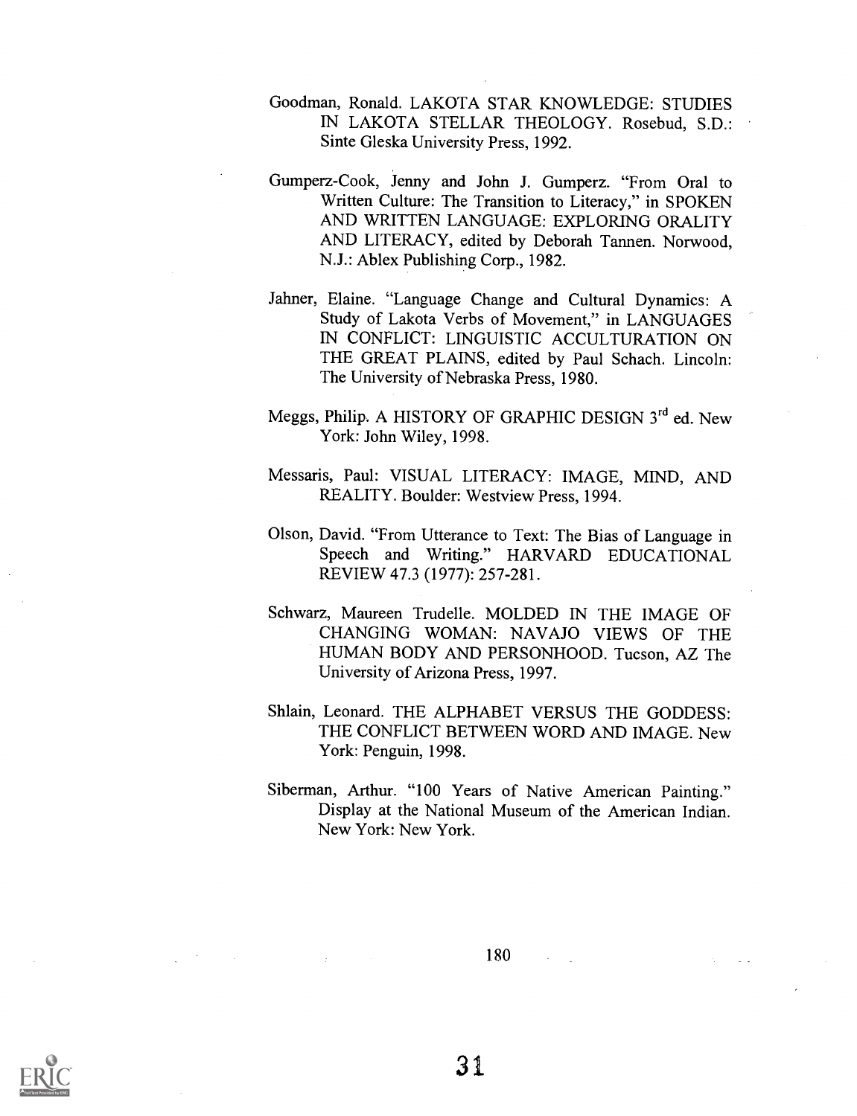- Goodman, Ronald. LAKOTA STAR KNOWLEDGE: STUDIES IN LAKOTA STELLAR THEOLOGY. Rosebud, S.D.: Sinte Gleska University Press, 1992.
- Gumperz-Cook, Jenny and John J. Gumperz. "From Oral to Written Culture: The Transition to Literacy," in SPOKEN AND WRITTEN LANGUAGE: EXPLORING ORALITY AND LITERACY, edited by Deborah Tannen. Norwood, N.J.: Ablex Publishing Corp., 1982.
- Jahner, Elaine. "Language Change and Cultural Dynamics: A Study of Lakota Verbs of Movement," in LANGUAGES IN CONFLICT: LINGUISTIC ACCULTURATION ON THE GREAT PLAINS, edited by Paul Schach. Lincoln: The University of Nebraska Press, 1980.
- Meggs, Philip. A HISTORY OF GRAPHIC DESIGN 3<sup>rd</sup> ed. New York: John Wiley, 1998.
- Messaris, Paul: VISUAL LITERACY: IMAGE, MIND, AND REALITY. Boulder: Westview Press, 1994.
- Olson, David. "From Utterance to Text: The Bias of Language in Speech and Writing." HARVARD EDUCATIONAL REVIEW 47.3 (1977): 257-281.
- Schwarz, Maureen Trudelle. MOLDED IN THE IMAGE OF CHANGING WOMAN: NAVAJO VIEWS OF THE HUMAN BODY AND PERSONHOOD. Tucson, AZ The University of Arizona Press, 1997.
- Shlain, Leonard. THE ALPHABET VERSUS THE GODDESS: THE CONFLICT BETWEEN WORD AND IMAGE. New York: Penguin, 1998.
- Siberman, Arthur. "100 Years of Native American Painting." Display at the National Museum of the American Indian. New York: New York.

180

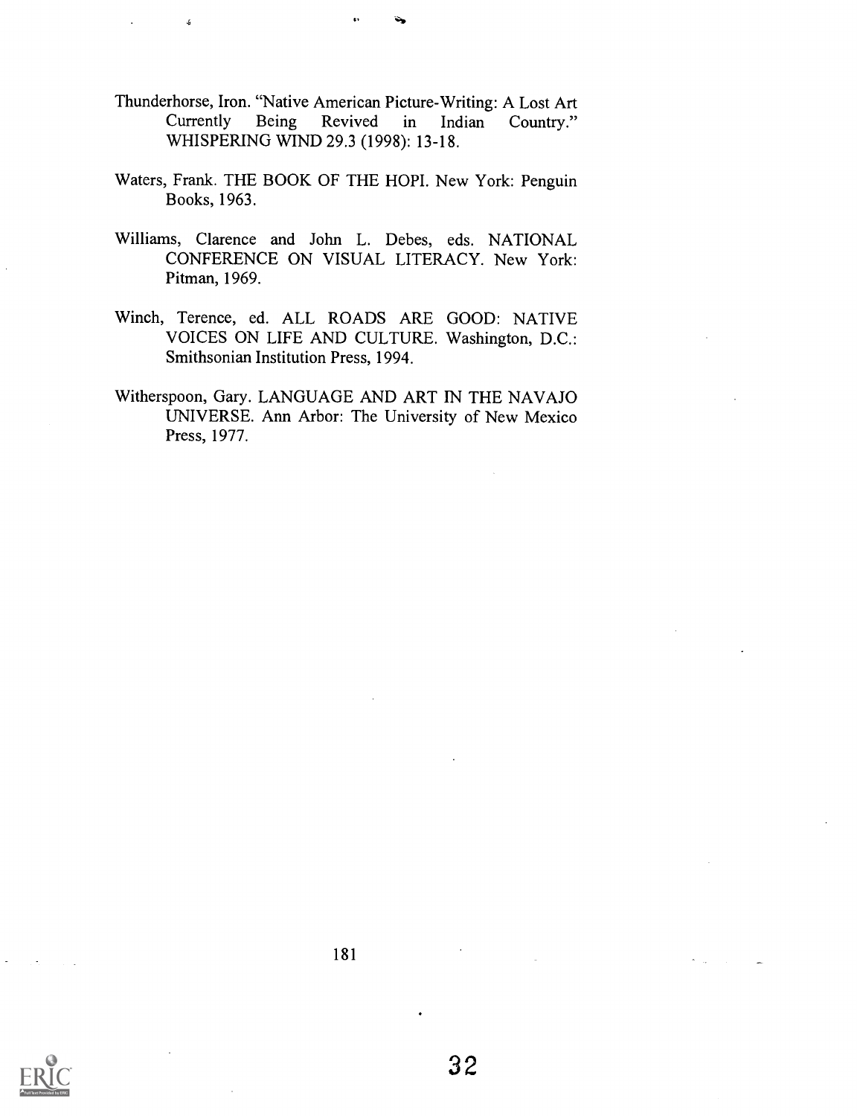- Thunderhorse, Iron. "Native American Picture-Writing: A Lost Art Country." WHISPERING WIND 29.3 (1998): 13-18.
- Waters, Frank. THE BOOK OF THE HOPI. New York: Penguin Books, 1963.
- Williams, Clarence and John L. Debes, eds. NATIONAL CONFERENCE ON VISUAL LITERACY. New York: Pitman, 1969.
- Winch, Terence, ed. ALL ROADS ARE GOOD: NATIVE VOICES ON LIFE AND CULTURE. Washington, D.C.: Smithsonian Institution Press, 1994.
- Witherspoon, Gary. LANGUAGE AND ART IN THE NAVAJO UNIVERSE. Ann Arbor: The University of New Mexico Press, 1977.



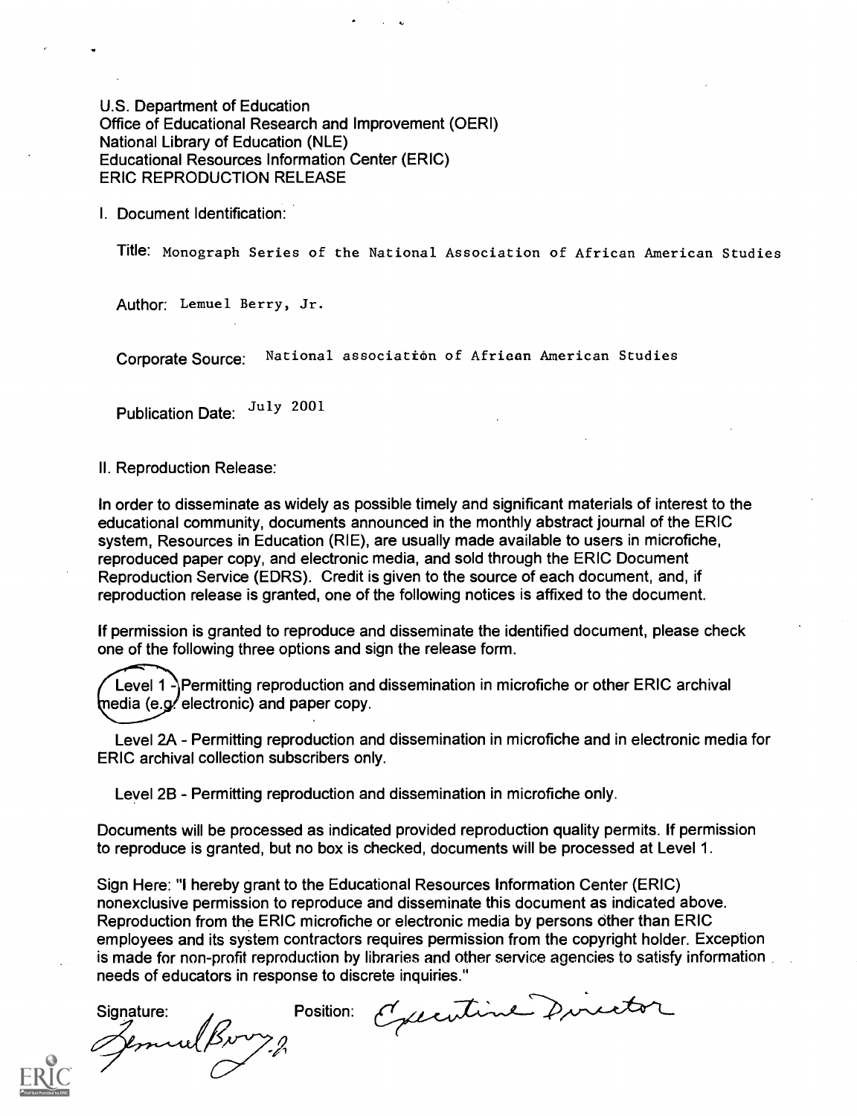U.S. Department of Education Office of Educational Research and Improvement (OERI) National Library of Education (NLE) Educational Resources Information Center (ERIC) ERIC REPRODUCTION RELEASE

I. Document Identification:

Title: Monograph Series of the National Association of African American Studies

Author: Lemuel Berry, Jr.

Corporate Source: National association of Afriean American Studies

Publication Date: July 2001

II. Reproduction Release:

In order to disseminate as widely as possible timely and significant materials of interest to the educational community, documents announced in the monthly abstract journal of the ERIC system, Resources in Education (RIE), are usually made available to users in microfiche, reproduced paper copy, and electronic media, and sold through the ERIC Document Reproduction Service (EDRS). Credit is given to the source of each document, and, if reproduction release is granted, one of the following notices is affixed to the document.

If permission is granted to reproduce and disseminate the identified document, please check one of the following three options and sign the release form.

Level 1  $\Lambda$  Permitting reproduction and dissemination in microfiche or other ERIC archival  $[$ nedia (e.g. electronic) and paper copy.

Level 2A - Permitting reproduction and dissemination in microfiche and in electronic media for ERIC archival collection subscribers only.

Level 2B - Permitting reproduction and dissemination in microfiche only.

Documents will be processed as indicated provided reproduction quality permits. If permission to reproduce is granted, but no box is checked, documents will be processed at Level 1.

Sign Here: "I hereby grant to the Educational Resources Information Center (ERIC) nonexclusive permission to reproduce and disseminate this document as indicated above. Reproduction from the ERIC microfiche or electronic media by persons other than ERIC employees and its system contractors requires permission from the copyright holder. Exception is made for non-profit reproduction by libraries and other service agencies to satisfy information needs of educators in response to discrete inquiries."

Signature: Position: Executive Director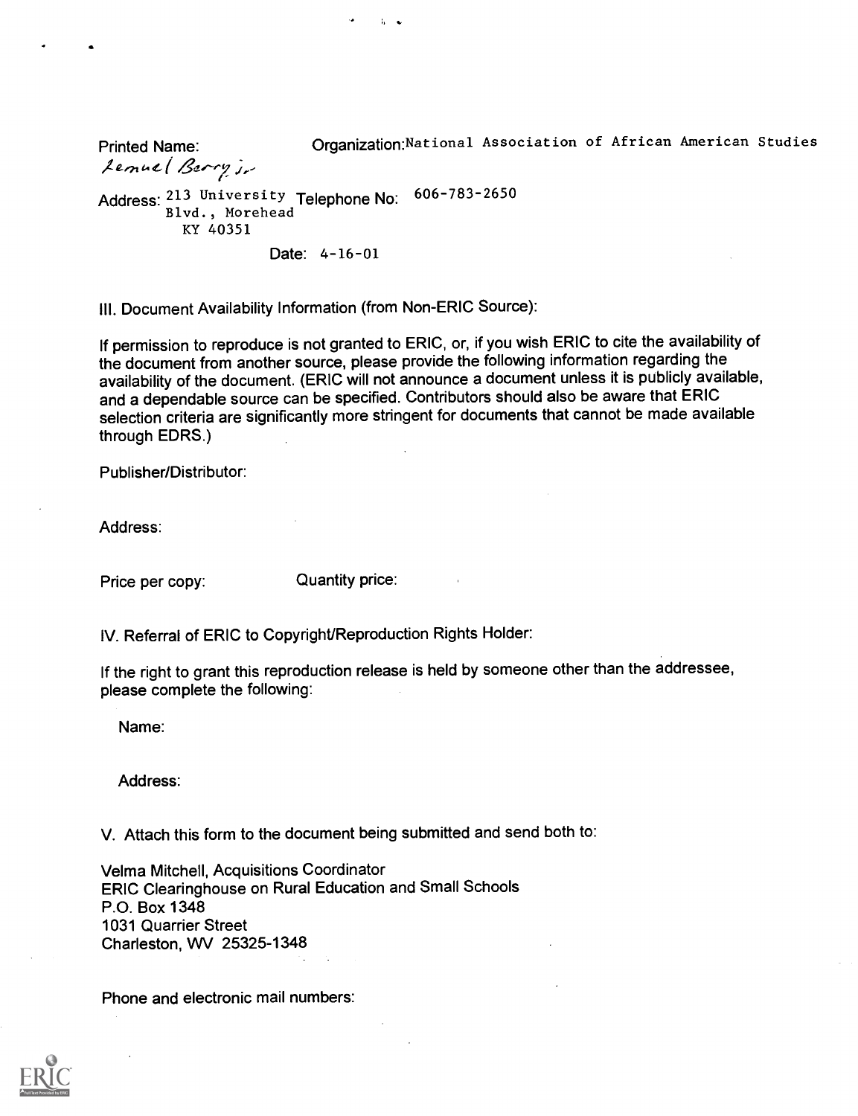Printed Name: Organization:National Association of African American Studies

Lenuel Berry j.

Address: 213 University Telephone No: 606-783-2650 Blvd., Morehead KY 40351

Date: 4-16-01

 $\mathbf{L}$ 

III. Document Availability Information (from Non-ERIC Source):

If permission to reproduce is not granted to ERIC, or, if you wish ERIC to cite the availability of the document from another source, please provide the following information regarding the availability of the document. (ERIC will not announce a document unless it is publicly available, and a dependable source can be specified. Contributors should also be aware that ERIC selection criteria are significantly more stringent for documents that cannot be made available through EDRS.)

Publisher/Distributor:

Address:

Price per copy: Quantity price:

IV. Referral of ERIC to Copyright/Reproduction Rights Holder:

If the right to grant this reproduction release is held by someone other than the addressee, please complete the following:

Name:

Address:

V. Attach this form to the document being submitted and send both to:

Velma Mitchell, Acquisitions Coordinator ERIC Clearinghouse on Rural Education and Small Schools P.O. Box 1348 1031 Quarrier Street Charleston, WV 25325-1348

Phone and electronic mail numbers: